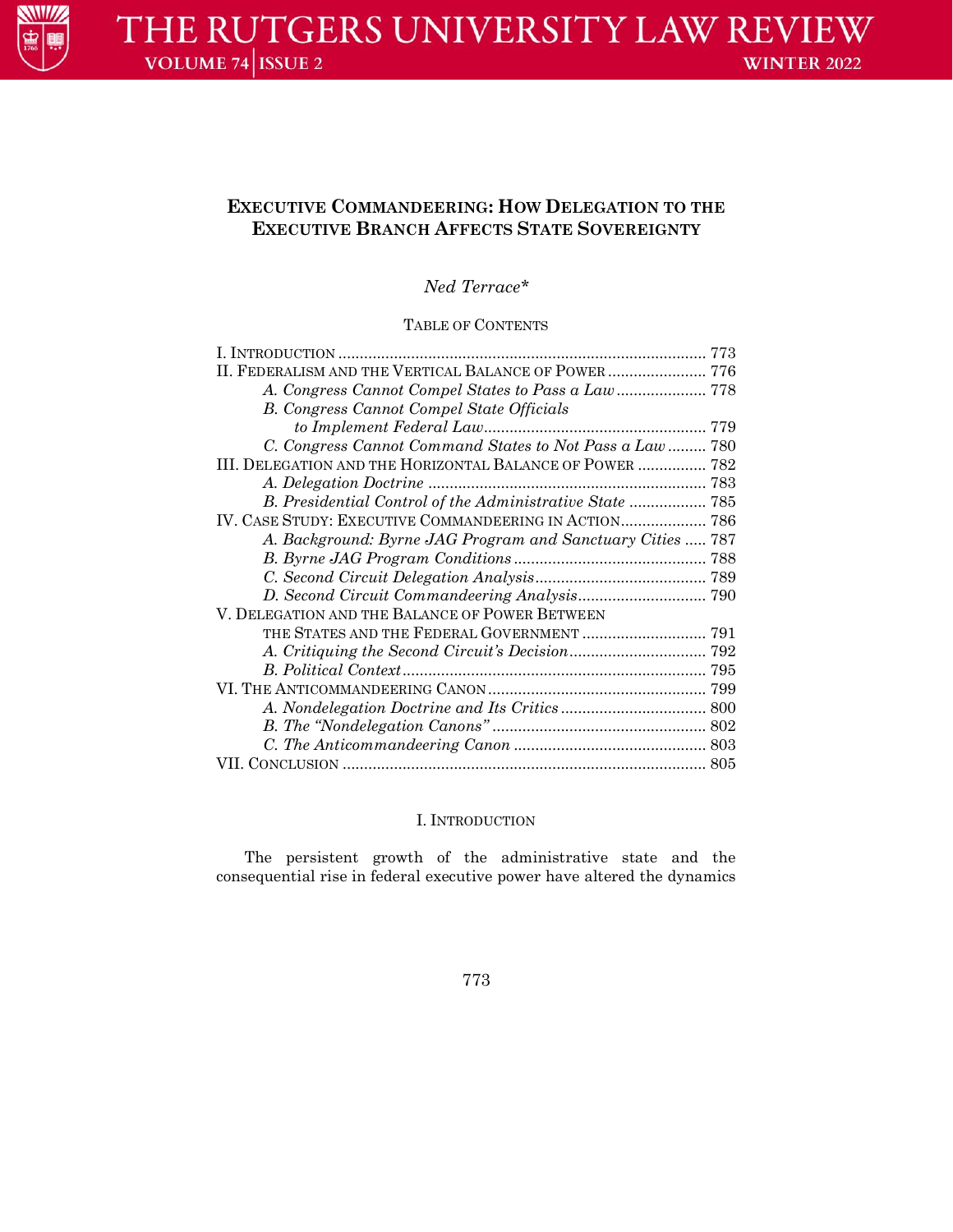

# **EXECUTIVE COMMANDEERING: HOW DELEGATION TO THE EXECUTIVE BRANCH AFFECTS STATE SOVEREIGNTY**

*Ned Terrace\**

## TABLE OF CONTENTS

| II. FEDERALISM AND THE VERTICAL BALANCE OF POWER  776      |  |
|------------------------------------------------------------|--|
|                                                            |  |
| <b>B.</b> Congress Cannot Compel State Officials           |  |
|                                                            |  |
| C. Congress Cannot Command States to Not Pass a Law 780    |  |
| III. DELEGATION AND THE HORIZONTAL BALANCE OF POWER  782   |  |
|                                                            |  |
| B. Presidential Control of the Administrative State  785   |  |
|                                                            |  |
| A. Background: Byrne JAG Program and Sanctuary Cities  787 |  |
|                                                            |  |
|                                                            |  |
|                                                            |  |
| V. DELEGATION AND THE BALANCE OF POWER BETWEEN             |  |
|                                                            |  |
|                                                            |  |
|                                                            |  |
|                                                            |  |
|                                                            |  |
|                                                            |  |
|                                                            |  |
|                                                            |  |

## I. INTRODUCTION

The persistent growth of the administrative state and the consequential rise in federal executive power have altered the dynamics

773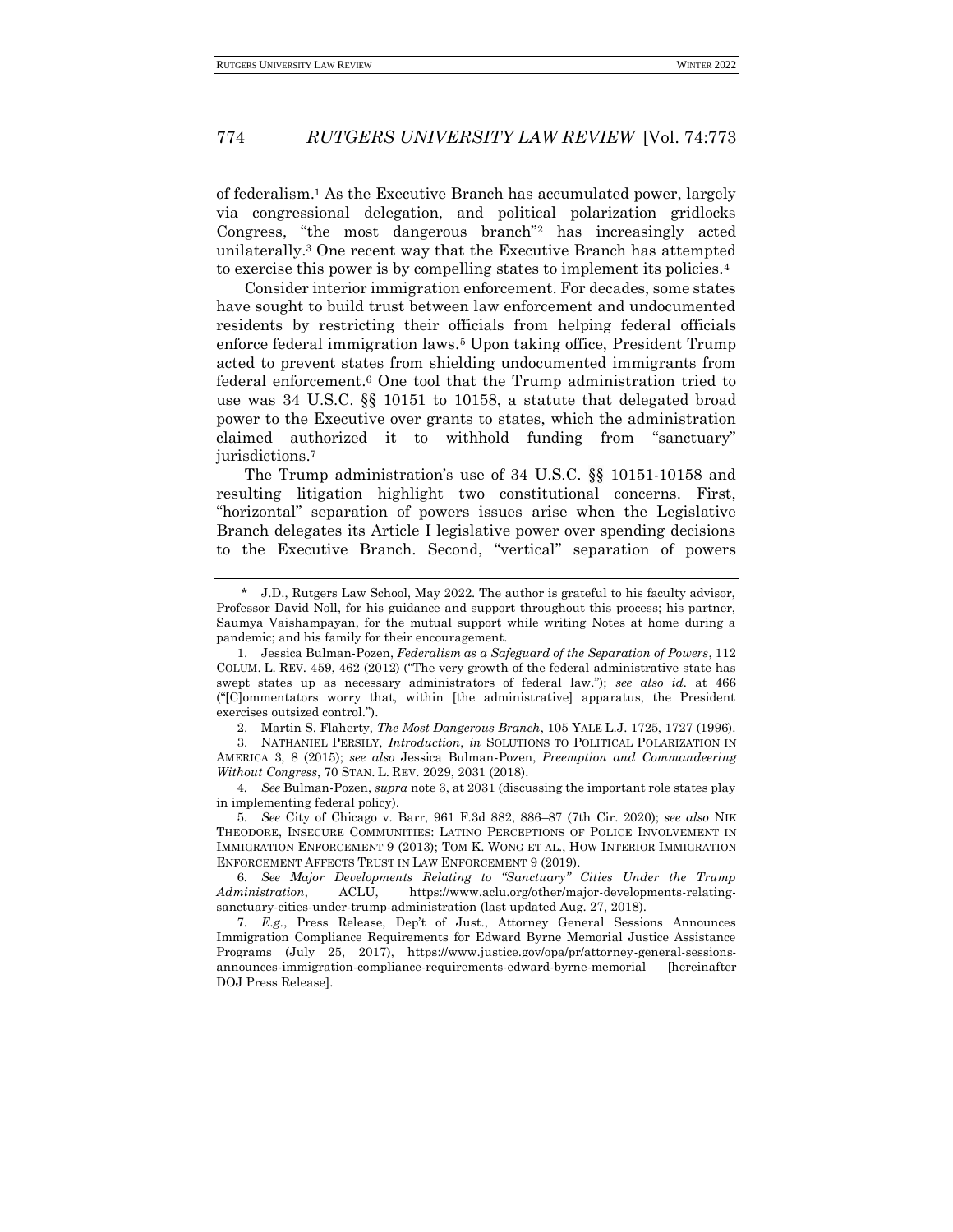of federalism.<sup>1</sup> As the Executive Branch has accumulated power, largely via congressional delegation, and political polarization gridlocks Congress, "the most dangerous branch"<sup>2</sup> has increasingly acted unilaterally.<sup>3</sup> One recent way that the Executive Branch has attempted to exercise this power is by compelling states to implement its policies.<sup>4</sup>

Consider interior immigration enforcement. For decades, some states have sought to build trust between law enforcement and undocumented residents by restricting their officials from helping federal officials enforce federal immigration laws.<sup>5</sup> Upon taking office, President Trump acted to prevent states from shielding undocumented immigrants from federal enforcement.<sup>6</sup> One tool that the Trump administration tried to use was 34 U.S.C. §§ 10151 to 10158, a statute that delegated broad power to the Executive over grants to states, which the administration claimed authorized it to withhold funding from "sanctuary" jurisdictions.<sup>7</sup>

The Trump administration's use of 34 U.S.C. §§ 10151-10158 and resulting litigation highlight two constitutional concerns. First, "horizontal" separation of powers issues arise when the Legislative Branch delegates its Article I legislative power over spending decisions to the Executive Branch. Second, "vertical" separation of powers

2. Martin S. Flaherty, *The Most Dangerous Branch*, 105 YALE L.J. 1725, 1727 (1996).

3. NATHANIEL PERSILY, *Introduction*, *in* SOLUTIONS TO POLITICAL POLARIZATION IN AMERICA 3, 8 (2015); *see also* Jessica Bulman-Pozen, *Preemption and Commandeering Without Congress*, 70 STAN. L. REV. 2029, 2031 (2018).

4*. See* Bulman-Pozen, *supra* note 3, at 2031 (discussing the important role states play in implementing federal policy).

5*. See* City of Chicago v. Barr, 961 F.3d 882, 886–87 (7th Cir. 2020); *see also* NIK THEODORE, INSECURE COMMUNITIES: LATINO PERCEPTIONS OF POLICE INVOLVEMENT IN IMMIGRATION ENFORCEMENT 9 (2013); TOM K. WONG ET AL., HOW INTERIOR IMMIGRATION ENFORCEMENT AFFECTS TRUST IN LAW ENFORCEMENT 9 (2019).

6*. See Major Developments Relating to "Sanctuary" Cities Under the Trump Administration*, ACLU, https://www.aclu.org/other/major-developments-relatingsanctuary-cities-under-trump-administration (last updated Aug. 27, 2018).

7*. E.g.*, Press Release, Dep't of Just., Attorney General Sessions Announces Immigration Compliance Requirements for Edward Byrne Memorial Justice Assistance Programs (July 25, 2017), https://www.justice.gov/opa/pr/attorney-general-sessionsannounces-immigration-compliance-requirements-edward-byrne-memorial [hereinafter DOJ Press Release].

<sup>\*</sup> J.D., Rutgers Law School, May 2022. The author is grateful to his faculty advisor, Professor David Noll, for his guidance and support throughout this process; his partner, Saumya Vaishampayan, for the mutual support while writing Notes at home during a pandemic; and his family for their encouragement.

<sup>1.</sup> Jessica Bulman-Pozen, *Federalism as a Safeguard of the Separation of Powers*, 112 COLUM. L. REV. 459, 462 (2012) ("The very growth of the federal administrative state has swept states up as necessary administrators of federal law."); *see also id.* at 466 ("[C]ommentators worry that, within [the administrative] apparatus, the President exercises outsized control.").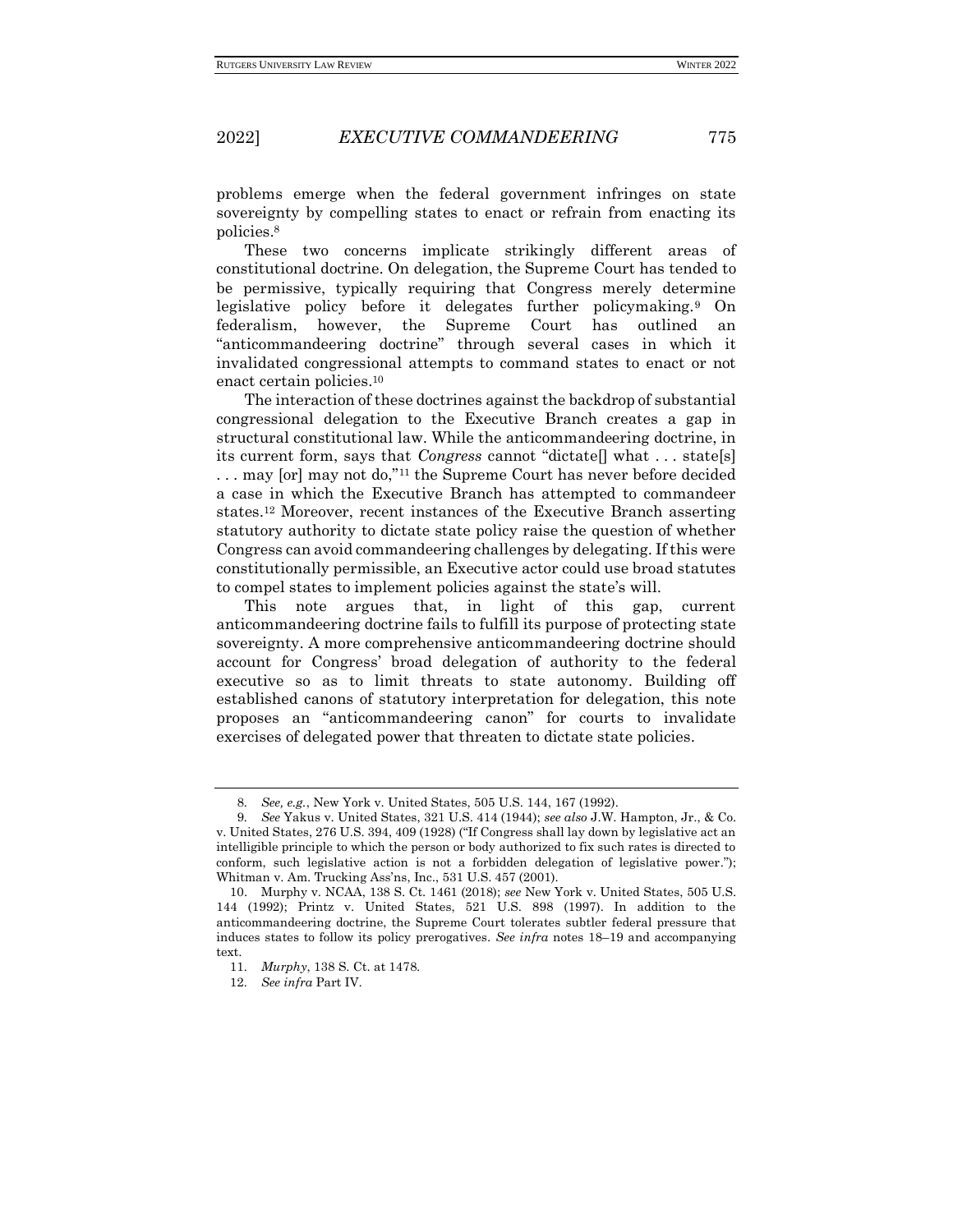problems emerge when the federal government infringes on state sovereignty by compelling states to enact or refrain from enacting its policies.<sup>8</sup>

These two concerns implicate strikingly different areas of constitutional doctrine. On delegation, the Supreme Court has tended to be permissive, typically requiring that Congress merely determine legislative policy before it delegates further policymaking.<sup>9</sup> On federalism, however, the Supreme Court has outlined an "anticommandeering doctrine" through several cases in which it invalidated congressional attempts to command states to enact or not enact certain policies.<sup>10</sup>

The interaction of these doctrines against the backdrop of substantial congressional delegation to the Executive Branch creates a gap in structural constitutional law. While the anticommandeering doctrine, in its current form, says that *Congress* cannot "dictate[] what . . . state[s] . . . may [or] may not do,"<sup>11</sup> the Supreme Court has never before decided a case in which the Executive Branch has attempted to commandeer states.<sup>12</sup> Moreover, recent instances of the Executive Branch asserting statutory authority to dictate state policy raise the question of whether Congress can avoid commandeering challenges by delegating. If this were constitutionally permissible, an Executive actor could use broad statutes to compel states to implement policies against the state's will.

This note argues that, in light of this gap, current anticommandeering doctrine fails to fulfill its purpose of protecting state sovereignty. A more comprehensive anticommandeering doctrine should account for Congress' broad delegation of authority to the federal executive so as to limit threats to state autonomy. Building off established canons of statutory interpretation for delegation, this note proposes an "anticommandeering canon" for courts to invalidate exercises of delegated power that threaten to dictate state policies.

<sup>8</sup>*. See, e.g.*, New York v. United States, 505 U.S. 144, 167 (1992).

<sup>9</sup>*. See* Yakus v. United States, 321 U.S. 414 (1944); *see also* J.W. Hampton, Jr., & Co. v. United States, 276 U.S. 394, 409 (1928) ("If Congress shall lay down by legislative act an intelligible principle to which the person or body authorized to fix such rates is directed to conform, such legislative action is not a forbidden delegation of legislative power."); Whitman v. Am. Trucking Ass'ns, Inc., 531 U.S. 457 (2001).

<sup>10.</sup> Murphy v. NCAA, 138 S. Ct. 1461 (2018); *see* New York v. United States, 505 U.S. 144 (1992); Printz v. United States, 521 U.S. 898 (1997). In addition to the anticommandeering doctrine, the Supreme Court tolerates subtler federal pressure that induces states to follow its policy prerogatives. *See infra* notes 18–19 and accompanying text.

<sup>11</sup>*. Murphy*, 138 S. Ct. at 1478.

<sup>12</sup>*. See infra* Part IV.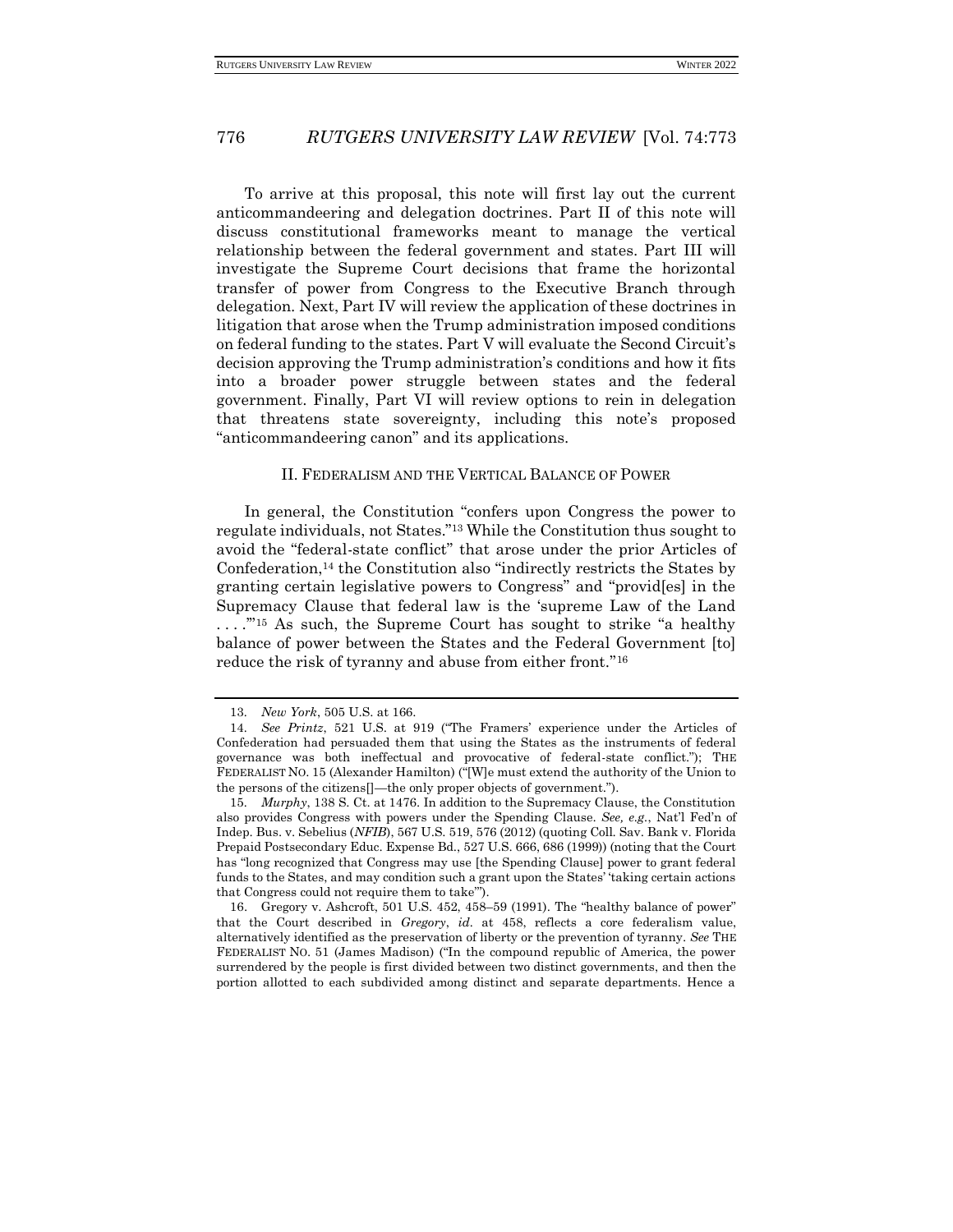To arrive at this proposal, this note will first lay out the current anticommandeering and delegation doctrines. Part II of this note will discuss constitutional frameworks meant to manage the vertical relationship between the federal government and states. Part III will investigate the Supreme Court decisions that frame the horizontal transfer of power from Congress to the Executive Branch through delegation. Next, Part IV will review the application of these doctrines in litigation that arose when the Trump administration imposed conditions on federal funding to the states. Part V will evaluate the Second Circuit's decision approving the Trump administration's conditions and how it fits into a broader power struggle between states and the federal government. Finally, Part VI will review options to rein in delegation that threatens state sovereignty, including this note's proposed "anticommandeering canon" and its applications.

#### II. FEDERALISM AND THE VERTICAL BALANCE OF POWER

In general, the Constitution "confers upon Congress the power to regulate individuals, not States."<sup>13</sup> While the Constitution thus sought to avoid the "federal-state conflict" that arose under the prior Articles of Confederation,<sup>14</sup> the Constitution also "indirectly restricts the States by granting certain legislative powers to Congress" and "provid[es] in the Supremacy Clause that federal law is the 'supreme Law of the Land ...."<sup>15</sup> As such, the Supreme Court has sought to strike "a healthy balance of power between the States and the Federal Government [to] reduce the risk of tyranny and abuse from either front."<sup>16</sup>

16. Gregory v. Ashcroft, 501 U.S. 452, 458–59 (1991). The "healthy balance of power" that the Court described in *Gregory*, *id.* at 458, reflects a core federalism value, alternatively identified as the preservation of liberty or the prevention of tyranny. *See* THE FEDERALIST NO. 51 (James Madison) ("In the compound republic of America, the power surrendered by the people is first divided between two distinct governments, and then the portion allotted to each subdivided among distinct and separate departments. Hence a

<sup>13</sup>*. New York*, 505 U.S. at 166.

<sup>14</sup>*. See Printz*, 521 U.S. at 919 ("The Framers' experience under the Articles of Confederation had persuaded them that using the States as the instruments of federal governance was both ineffectual and provocative of federal-state conflict."); THE FEDERALIST NO. 15 (Alexander Hamilton) ("[W]e must extend the authority of the Union to the persons of the citizens[]—the only proper objects of government.").

<sup>15</sup>*. Murphy*, 138 S. Ct. at 1476. In addition to the Supremacy Clause, the Constitution also provides Congress with powers under the Spending Clause. *See, e.g.*, Nat'l Fed'n of Indep. Bus. v. Sebelius (*NFIB*), 567 U.S. 519, 576 (2012) (quoting Coll. Sav. Bank v. Florida Prepaid Postsecondary Educ. Expense Bd., 527 U.S. 666, 686 (1999)) (noting that the Court has "long recognized that Congress may use [the Spending Clause] power to grant federal funds to the States, and may condition such a grant upon the States' 'taking certain actions that Congress could not require them to take'").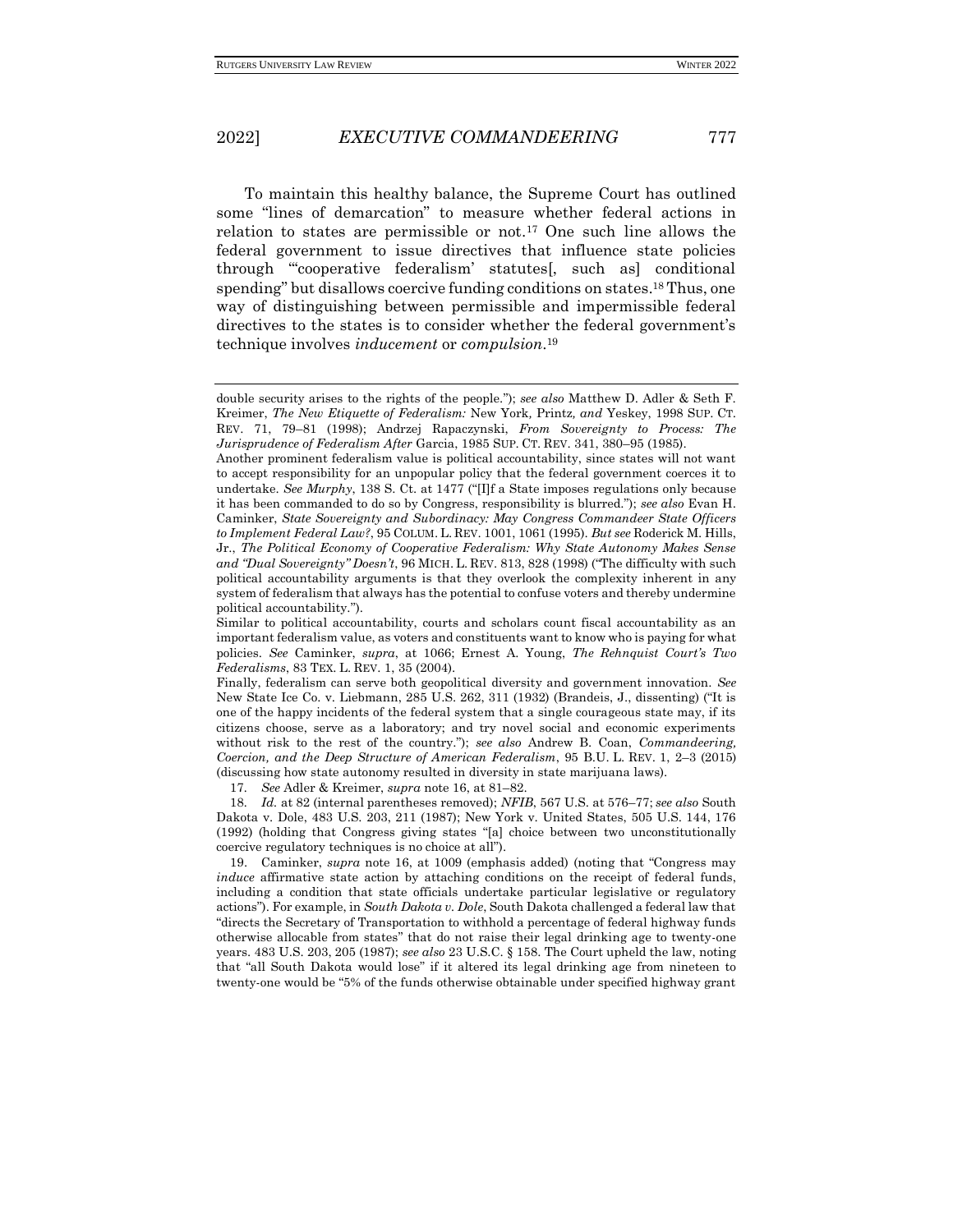To maintain this healthy balance, the Supreme Court has outlined some "lines of demarcation" to measure whether federal actions in relation to states are permissible or not.<sup>17</sup> One such line allows the federal government to issue directives that influence state policies through "'cooperative federalism' statutes[, such as] conditional spending" but disallows coercive funding conditions on states.<sup>18</sup> Thus, one way of distinguishing between permissible and impermissible federal directives to the states is to consider whether the federal government's technique involves *inducement* or *compulsion*. 19

17*. See* Adler & Kreimer, *supra* note 16, at 81–82.

18*. Id.* at 82 (internal parentheses removed); *NFIB*, 567 U.S. at 576–77; *see also* South Dakota v. Dole, 483 U.S. 203, 211 (1987); New York v. United States, 505 U.S. 144, 176 (1992) (holding that Congress giving states "[a] choice between two unconstitutionally coercive regulatory techniques is no choice at all").

19. Caminker, *supra* note 16, at 1009 (emphasis added) (noting that "Congress may *induce* affirmative state action by attaching conditions on the receipt of federal funds, including a condition that state officials undertake particular legislative or regulatory actions"). For example, in *South Dakota v. Dole*, South Dakota challenged a federal law that "directs the Secretary of Transportation to withhold a percentage of federal highway funds otherwise allocable from states" that do not raise their legal drinking age to twenty-one years. 483 U.S. 203, 205 (1987); *see also* 23 U.S.C. § 158. The Court upheld the law, noting that "all South Dakota would lose" if it altered its legal drinking age from nineteen to twenty-one would be "5% of the funds otherwise obtainable under specified highway grant

double security arises to the rights of the people."); *see also* Matthew D. Adler & Seth F. Kreimer, *The New Etiquette of Federalism:* New York*,* Printz*, and* Yeskey, 1998 SUP. CT. REV. 71, 79–81 (1998); Andrzej Rapaczynski, *From Sovereignty to Process: The Jurisprudence of Federalism After* Garcia, 1985 SUP. CT. REV. 341, 380–95 (1985).

Another prominent federalism value is political accountability, since states will not want to accept responsibility for an unpopular policy that the federal government coerces it to undertake. *See Murphy*, 138 S. Ct. at 1477 ("[I]f a State imposes regulations only because it has been commanded to do so by Congress, responsibility is blurred."); *see also* Evan H. Caminker, *State Sovereignty and Subordinacy: May Congress Commandeer State Officers to Implement Federal Law?*, 95 COLUM. L. REV. 1001, 1061 (1995). *But see* Roderick M. Hills, Jr., *The Political Economy of Cooperative Federalism: Why State Autonomy Makes Sense and "Dual Sovereignty" Doesn't*, 96 MICH. L. REV. 813, 828 (1998) ("The difficulty with such political accountability arguments is that they overlook the complexity inherent in any system of federalism that always has the potential to confuse voters and thereby undermine political accountability.").

Similar to political accountability, courts and scholars count fiscal accountability as an important federalism value, as voters and constituents want to know who is paying for what policies. *See* Caminker, *supra*, at 1066; Ernest A. Young, *The Rehnquist Court's Two Federalisms*, 83 TEX. L. REV. 1, 35 (2004).

Finally, federalism can serve both geopolitical diversity and government innovation. *See*  New State Ice Co. v. Liebmann, 285 U.S. 262, 311 (1932) (Brandeis, J., dissenting) ("It is one of the happy incidents of the federal system that a single courageous state may, if its citizens choose, serve as a laboratory; and try novel social and economic experiments without risk to the rest of the country."); *see also* Andrew B. Coan, *Commandeering, Coercion, and the Deep Structure of American Federalism*, 95 B.U. L. REV. 1, 2–3 (2015) (discussing how state autonomy resulted in diversity in state marijuana laws).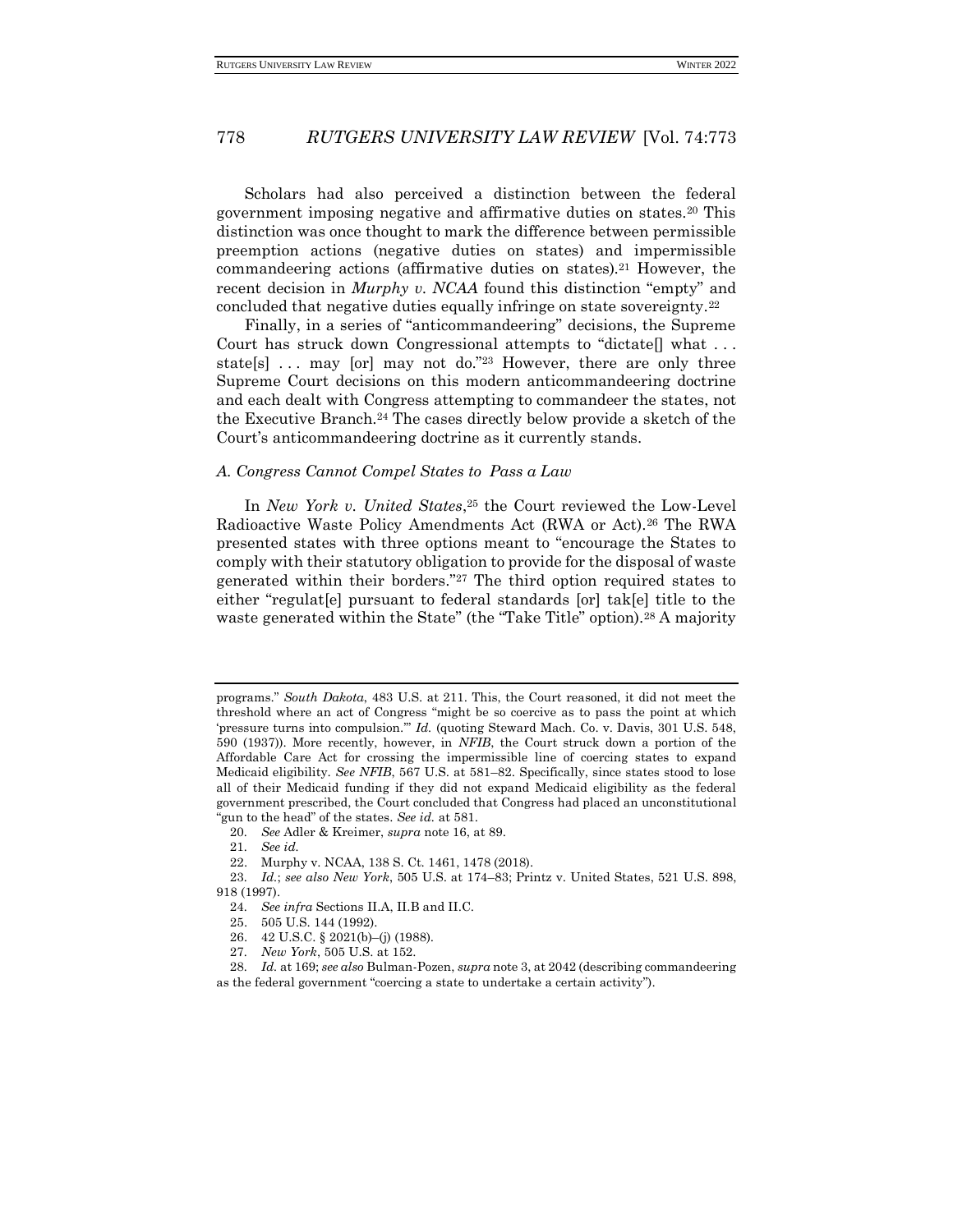Scholars had also perceived a distinction between the federal government imposing negative and affirmative duties on states.<sup>20</sup> This distinction was once thought to mark the difference between permissible preemption actions (negative duties on states) and impermissible commandeering actions (affirmative duties on states).<sup>21</sup> However, the recent decision in *Murphy v. NCAA* found this distinction "empty" and concluded that negative duties equally infringe on state sovereignty.<sup>22</sup>

Finally, in a series of "anticommandeering" decisions, the Supreme Court has struck down Congressional attempts to "dictate<sup>[]</sup> what ... state[s]  $\ldots$  may [or] may not do."23 However, there are only three Supreme Court decisions on this modern anticommandeering doctrine and each dealt with Congress attempting to commandeer the states, not the Executive Branch.<sup>24</sup> The cases directly below provide a sketch of the Court's anticommandeering doctrine as it currently stands.

#### *A. Congress Cannot Compel States to Pass a Law*

In *New York v. United States*, <sup>25</sup> the Court reviewed the Low-Level Radioactive Waste Policy Amendments Act (RWA or Act).<sup>26</sup> The RWA presented states with three options meant to "encourage the States to comply with their statutory obligation to provide for the disposal of waste generated within their borders."<sup>27</sup> The third option required states to either "regulat[e] pursuant to federal standards [or] tak[e] title to the waste generated within the State" (the "Take Title" option).<sup>28</sup> A majority

21*. See id.*

- 26. 42 U.S.C. § 2021(b)–(j) (1988).
- 27*. New York*, 505 U.S. at 152.

programs." *South Dakota*, 483 U.S. at 211. This, the Court reasoned, it did not meet the threshold where an act of Congress "might be so coercive as to pass the point at which 'pressure turns into compulsion.'" *Id.* (quoting Steward Mach. Co. v. Davis, 301 U.S. 548, 590 (1937)). More recently, however, in *NFIB*, the Court struck down a portion of the Affordable Care Act for crossing the impermissible line of coercing states to expand Medicaid eligibility. *See NFIB*, 567 U.S. at 581–82. Specifically, since states stood to lose all of their Medicaid funding if they did not expand Medicaid eligibility as the federal government prescribed, the Court concluded that Congress had placed an unconstitutional "gun to the head" of the states. *See id.* at 581.

<sup>20</sup>*. See* Adler & Kreimer, *supra* note 16, at 89.

<sup>22.</sup> Murphy v. NCAA, 138 S. Ct. 1461, 1478 (2018).

<sup>23</sup>*. Id.*; *see also New York*, 505 U.S. at 174–83; Printz v. United States, 521 U.S. 898, 918 (1997).

<sup>24</sup>*. See infra* Sections II.A, II.B and II.C.

<sup>25.</sup> 505 U.S. 144 (1992).

<sup>28</sup>*. Id.* at 169; *see also* Bulman-Pozen, *supra* note 3, at 2042 (describing commandeering as the federal government "coercing a state to undertake a certain activity").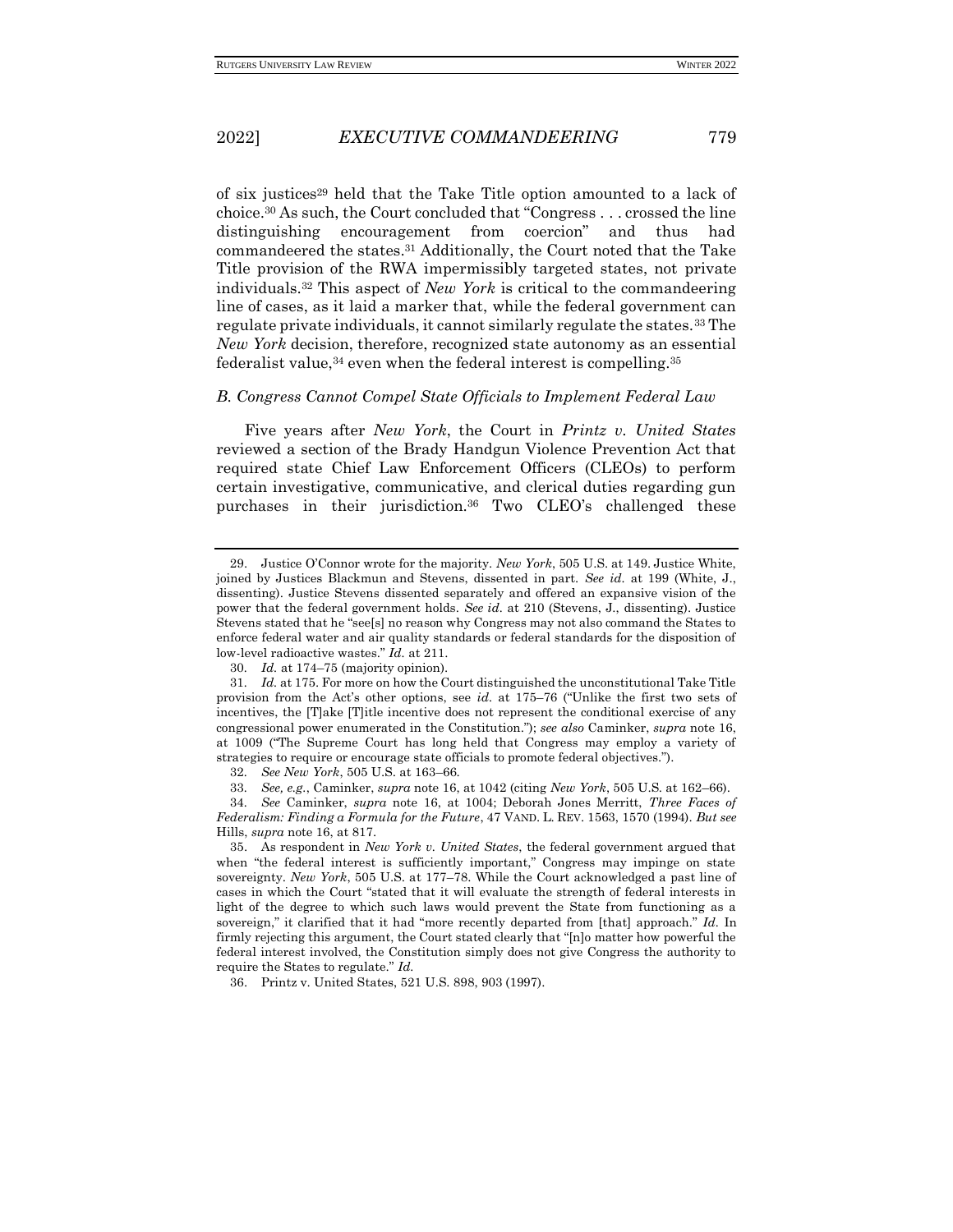of six justices<sup>29</sup> held that the Take Title option amounted to a lack of choice.<sup>30</sup> As such, the Court concluded that "Congress  $\dots$  crossed the line distinguishing encouragement from coercion" and thus had commandeered the states.<sup>31</sup> Additionally, the Court noted that the Take Title provision of the RWA impermissibly targeted states, not private individuals.<sup>32</sup> This aspect of *New York* is critical to the commandeering line of cases, as it laid a marker that, while the federal government can regulate private individuals, it cannot similarly regulate the states.<sup>33</sup> The *New York* decision, therefore, recognized state autonomy as an essential federalist value,  $34$  even when the federal interest is compelling.  $35$ 

#### *B. Congress Cannot Compel State Officials to Implement Federal Law*

Five years after *New York*, the Court in *Printz v. United States* reviewed a section of the Brady Handgun Violence Prevention Act that required state Chief Law Enforcement Officers (CLEOs) to perform certain investigative, communicative, and clerical duties regarding gun purchases in their jurisdiction.<sup>36</sup> Two CLEO's challenged these

33*. See, e.g.*, Caminker, *supra* note 16, at 1042 (citing *New York*, 505 U.S. at 162–66).

36. Printz v. United States, 521 U.S. 898, 903 (1997).

<sup>29.</sup> Justice O'Connor wrote for the majority. *New York*, 505 U.S. at 149. Justice White, joined by Justices Blackmun and Stevens, dissented in part. *See id.* at 199 (White, J., dissenting). Justice Stevens dissented separately and offered an expansive vision of the power that the federal government holds. *See id.* at 210 (Stevens, J., dissenting). Justice Stevens stated that he "see[s] no reason why Congress may not also command the States to enforce federal water and air quality standards or federal standards for the disposition of low-level radioactive wastes." *Id.* at 211.

<sup>30</sup>*. Id.* at 174–75 (majority opinion).

<sup>31</sup>*. Id.* at 175. For more on how the Court distinguished the unconstitutional Take Title provision from the Act's other options, see *id.* at 175–76 ("Unlike the first two sets of incentives, the [T]ake [T]itle incentive does not represent the conditional exercise of any congressional power enumerated in the Constitution."); *see also* Caminker, *supra* note 16, at 1009 ("The Supreme Court has long held that Congress may employ a variety of strategies to require or encourage state officials to promote federal objectives.").

<sup>32</sup>*. See New York*, 505 U.S. at 163–66.

<sup>34</sup>*. See* Caminker, *supra* note 16, at 1004; Deborah Jones Merritt, *Three Faces of Federalism: Finding a Formula for the Future*, 47 VAND. L. REV. 1563, 1570 (1994). *But see*  Hills, *supra* note 16, at 817.

<sup>35.</sup> As respondent in *New York v. United States*, the federal government argued that when "the federal interest is sufficiently important," Congress may impinge on state sovereignty. *New York*, 505 U.S. at 177–78. While the Court acknowledged a past line of cases in which the Court "stated that it will evaluate the strength of federal interests in light of the degree to which such laws would prevent the State from functioning as a sovereign," it clarified that it had "more recently departed from [that] approach." *Id.* In firmly rejecting this argument, the Court stated clearly that "[n]o matter how powerful the federal interest involved, the Constitution simply does not give Congress the authority to require the States to regulate." *Id.*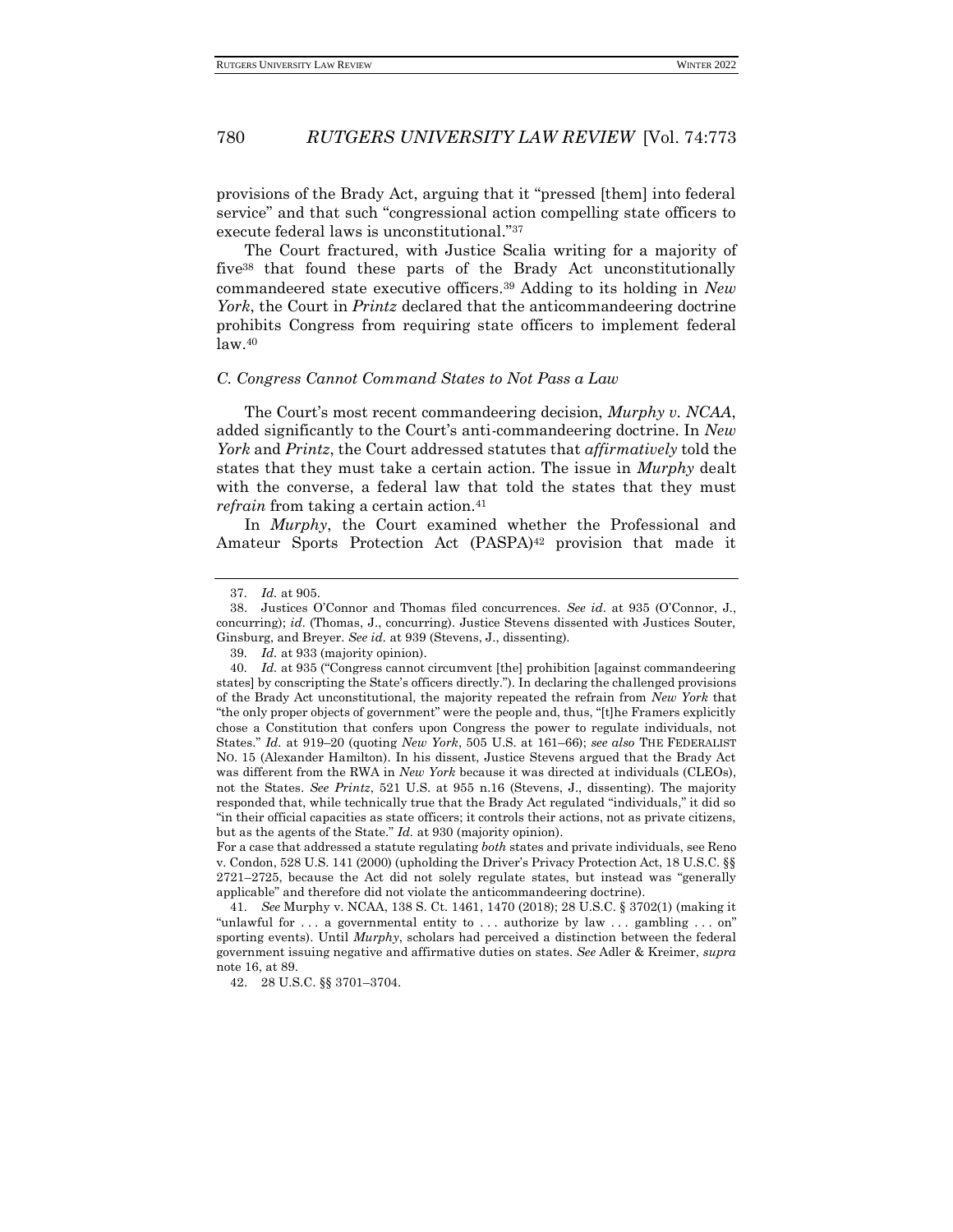provisions of the Brady Act, arguing that it "pressed [them] into federal service" and that such "congressional action compelling state officers to execute federal laws is unconstitutional."<sup>37</sup>

The Court fractured, with Justice Scalia writing for a majority of five<sup>38</sup> that found these parts of the Brady Act unconstitutionally commandeered state executive officers.<sup>39</sup> Adding to its holding in *New York*, the Court in *Printz* declared that the anticommandeering doctrine prohibits Congress from requiring state officers to implement federal law.<sup>40</sup>

### *C. Congress Cannot Command States to Not Pass a Law*

The Court's most recent commandeering decision, *Murphy v. NCAA*, added significantly to the Court's anti-commandeering doctrine. In *New York* and *Printz*, the Court addressed statutes that *affirmatively* told the states that they must take a certain action. The issue in *Murphy* dealt with the converse, a federal law that told the states that they must *refrain* from taking a certain action.<sup>41</sup>

In *Murphy*, the Court examined whether the Professional and Amateur Sports Protection Act (PASPA)<sup>42</sup> provision that made it

<sup>37</sup>*. Id.* at 905.

<sup>38.</sup> Justices O'Connor and Thomas filed concurrences. *See id.* at 935 (O'Connor, J., concurring); *id.* (Thomas, J., concurring). Justice Stevens dissented with Justices Souter, Ginsburg, and Breyer. *See id.* at 939 (Stevens, J., dissenting).

<sup>39</sup>*. Id.* at 933 (majority opinion).

<sup>40</sup>*. Id.* at 935 ("Congress cannot circumvent [the] prohibition [against commandeering states] by conscripting the State's officers directly."). In declaring the challenged provisions of the Brady Act unconstitutional, the majority repeated the refrain from *New York* that "the only proper objects of government" were the people and, thus, "[t]he Framers explicitly chose a Constitution that confers upon Congress the power to regulate individuals, not States." *Id.* at 919–20 (quoting *New York*, 505 U.S. at 161–66); *see also* THE FEDERALIST NO. 15 (Alexander Hamilton). In his dissent, Justice Stevens argued that the Brady Act was different from the RWA in *New York* because it was directed at individuals (CLEOs), not the States. *See Printz*, 521 U.S. at 955 n.16 (Stevens, J., dissenting). The majority responded that, while technically true that the Brady Act regulated "individuals," it did so "in their official capacities as state officers; it controls their actions, not as private citizens, but as the agents of the State." *Id.* at 930 (majority opinion).

For a case that addressed a statute regulating *both* states and private individuals, see Reno v. Condon, 528 U.S. 141 (2000) (upholding the Driver's Privacy Protection Act, 18 U.S.C. §§ 2721–2725, because the Act did not solely regulate states, but instead was "generally applicable" and therefore did not violate the anticommandeering doctrine).

<sup>41</sup>*. See* Murphy v. NCAA, 138 S. Ct. 1461, 1470 (2018); 28 U.S.C. § 3702(1) (making it "unlawful for . . . a governmental entity to . . . authorize by law . . . gambling . . . on" sporting events). Until *Murphy*, scholars had perceived a distinction between the federal government issuing negative and affirmative duties on states. *See* Adler & Kreimer, *supra*  note 16, at 89.

<sup>42.</sup> 28 U.S.C. §§ 3701–3704.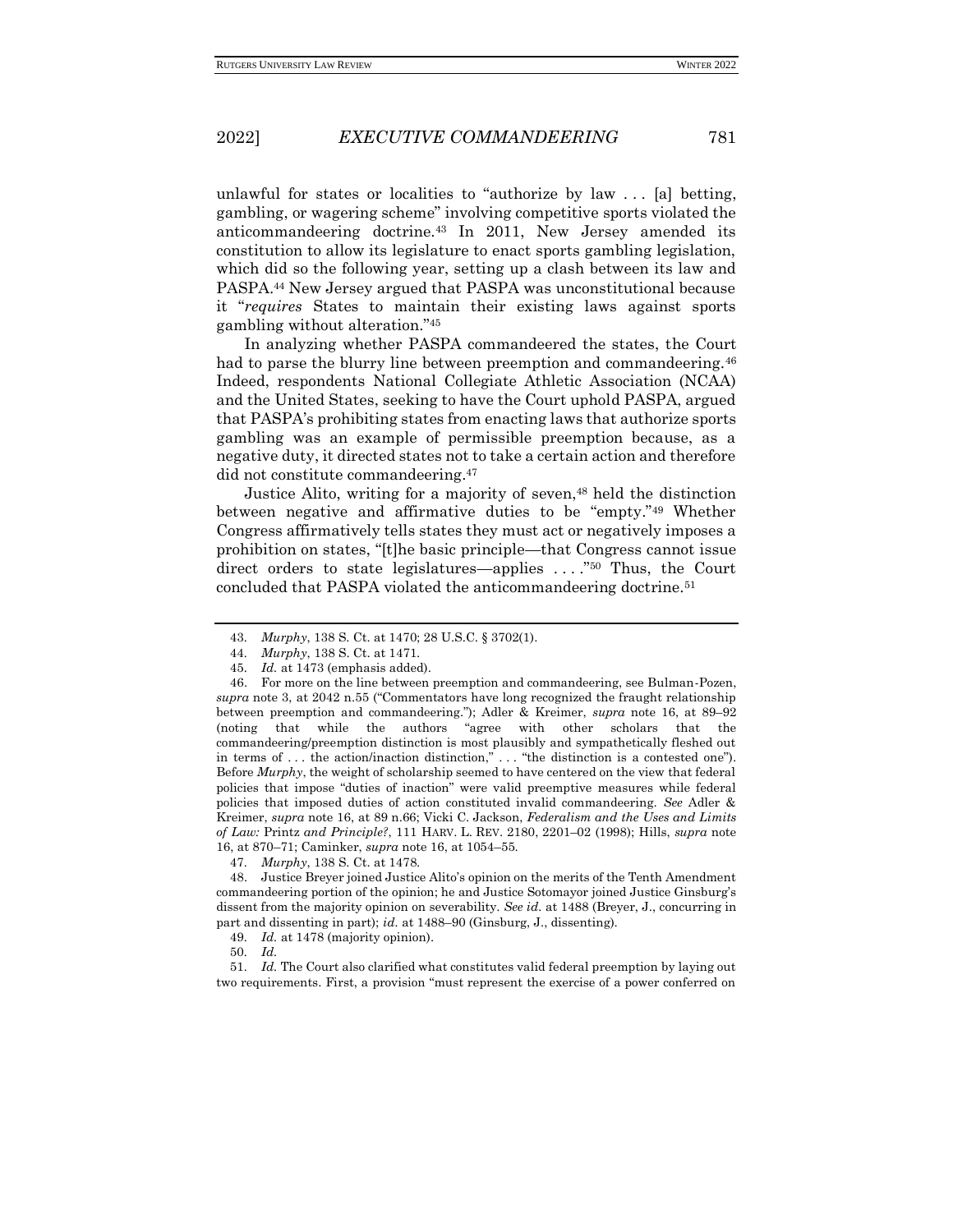unlawful for states or localities to "authorize by law . . . [a] betting, gambling, or wagering scheme" involving competitive sports violated the anticommandeering doctrine.<sup>43</sup> In 2011, New Jersey amended its constitution to allow its legislature to enact sports gambling legislation, which did so the following year, setting up a clash between its law and PASPA.<sup>44</sup> New Jersey argued that PASPA was unconstitutional because it "*requires* States to maintain their existing laws against sports gambling without alteration."<sup>45</sup>

In analyzing whether PASPA commandeered the states, the Court had to parse the blurry line between preemption and commandeering.<sup>46</sup> Indeed, respondents National Collegiate Athletic Association (NCAA) and the United States, seeking to have the Court uphold PASPA, argued that PASPA's prohibiting states from enacting laws that authorize sports gambling was an example of permissible preemption because, as a negative duty, it directed states not to take a certain action and therefore did not constitute commandeering.<sup>47</sup>

Justice Alito, writing for a majority of seven,<sup>48</sup> held the distinction between negative and affirmative duties to be "empty."<sup>49</sup> Whether Congress affirmatively tells states they must act or negatively imposes a prohibition on states, "[t]he basic principle—that Congress cannot issue direct orders to state legislatures—applies ...."<sup>50</sup> Thus, the Court concluded that PASPA violated the anticommandeering doctrine.<sup>51</sup>

47*. Murphy*, 138 S. Ct. at 1478.

48. Justice Breyer joined Justice Alito's opinion on the merits of the Tenth Amendment commandeering portion of the opinion; he and Justice Sotomayor joined Justice Ginsburg's dissent from the majority opinion on severability. *See id.* at 1488 (Breyer, J., concurring in part and dissenting in part); *id.* at 1488–90 (Ginsburg, J., dissenting).

51*. Id.* The Court also clarified what constitutes valid federal preemption by laying out two requirements. First, a provision "must represent the exercise of a power conferred on

<sup>43</sup>*. Murphy*, 138 S. Ct. at 1470; 28 U.S.C. § 3702(1).

<sup>44</sup>*. Murphy*, 138 S. Ct. at 1471.

<sup>45</sup>*. Id.* at 1473 (emphasis added).

<sup>46.</sup> For more on the line between preemption and commandeering, see Bulman-Pozen, *supra* note 3, at 2042 n.55 ("Commentators have long recognized the fraught relationship between preemption and commandeering."); Adler & Kreimer, *supra* note 16, at 89–92 (noting that while the authors "agree with other scholars that the commandeering/preemption distinction is most plausibly and sympathetically fleshed out in terms of . . . the action/inaction distinction," . . . "the distinction is a contested one"). Before *Murphy*, the weight of scholarship seemed to have centered on the view that federal policies that impose "duties of inaction" were valid preemptive measures while federal policies that imposed duties of action constituted invalid commandeering. *See* Adler & Kreimer, *supra* note 16, at 89 n.66; Vicki C. Jackson, *Federalism and the Uses and Limits of Law:* Printz *and Principle?*, 111 HARV. L. REV. 2180, 2201–02 (1998); Hills, *supra* note 16, at 870–71; Caminker, *supra* note 16, at 1054–55.

<sup>49</sup>*. Id.* at 1478 (majority opinion).

<sup>50</sup>*. Id.*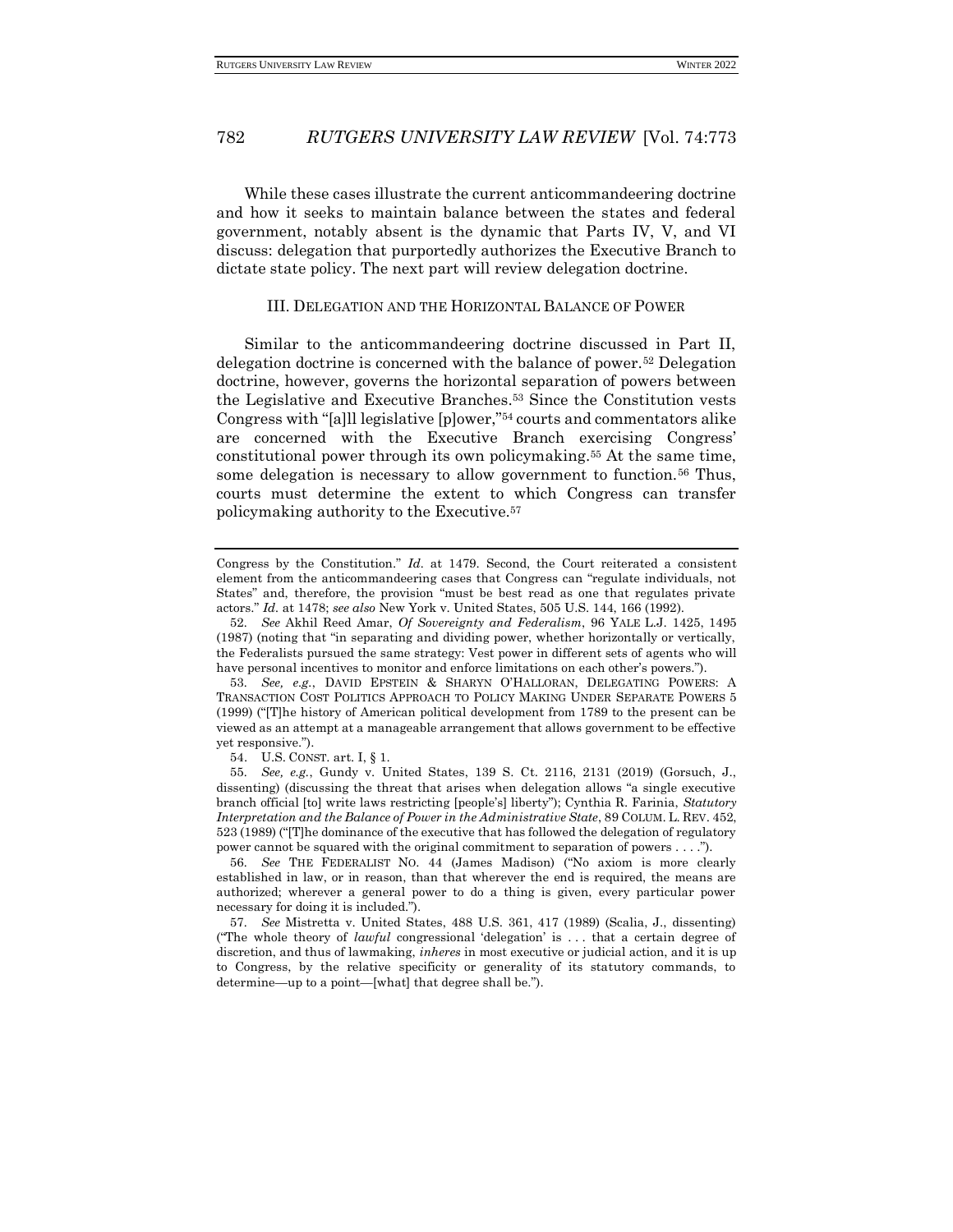While these cases illustrate the current anticommandeering doctrine and how it seeks to maintain balance between the states and federal government, notably absent is the dynamic that Parts IV, V, and VI discuss: delegation that purportedly authorizes the Executive Branch to dictate state policy. The next part will review delegation doctrine.

#### III. DELEGATION AND THE HORIZONTAL BALANCE OF POWER

Similar to the anticommandeering doctrine discussed in Part II, delegation doctrine is concerned with the balance of power.<sup>52</sup> Delegation doctrine, however, governs the horizontal separation of powers between the Legislative and Executive Branches.<sup>53</sup> Since the Constitution vests Congress with "[a]ll legislative [p]ower,"<sup>54</sup> courts and commentators alike are concerned with the Executive Branch exercising Congress' constitutional power through its own policymaking.<sup>55</sup> At the same time, some delegation is necessary to allow government to function.<sup>56</sup> Thus, courts must determine the extent to which Congress can transfer policymaking authority to the Executive.<sup>57</sup>

54. U.S. CONST. art. I, § 1.

55*. See, e.g.*, Gundy v. United States, 139 S. Ct. 2116, 2131 (2019) (Gorsuch, J., dissenting) (discussing the threat that arises when delegation allows "a single executive branch official [to] write laws restricting [people's] liberty"); Cynthia R. Farinia, *Statutory Interpretation and the Balance of Power in the Administrative State*, 89 COLUM. L. REV. 452, 523 (1989) ("[T]he dominance of the executive that has followed the delegation of regulatory power cannot be squared with the original commitment to separation of powers . . . .").

56*. See* THE FEDERALIST NO. 44 (James Madison) ("No axiom is more clearly established in law, or in reason, than that wherever the end is required, the means are authorized; wherever a general power to do a thing is given, every particular power necessary for doing it is included.").

57*. See* Mistretta v. United States, 488 U.S. 361, 417 (1989) (Scalia, J., dissenting) ("The whole theory of *lawful* congressional 'delegation' is . . . that a certain degree of discretion, and thus of lawmaking, *inheres* in most executive or judicial action, and it is up to Congress, by the relative specificity or generality of its statutory commands, to determine—up to a point—[what] that degree shall be.").

Congress by the Constitution." *Id.* at 1479. Second, the Court reiterated a consistent element from the anticommandeering cases that Congress can "regulate individuals, not States" and, therefore, the provision "must be best read as one that regulates private actors." *Id.* at 1478; *see also* New York v. United States, 505 U.S. 144, 166 (1992).

<sup>52</sup>*. See* Akhil Reed Amar, *Of Sovereignty and Federalism*, 96 YALE L.J. 1425, 1495 (1987) (noting that "in separating and dividing power, whether horizontally or vertically, the Federalists pursued the same strategy: Vest power in different sets of agents who will have personal incentives to monitor and enforce limitations on each other's powers.").

<sup>53</sup>*. See, e.g.*, DAVID EPSTEIN & SHARYN O'HALLORAN, DELEGATING POWERS: A TRANSACTION COST POLITICS APPROACH TO POLICY MAKING UNDER SEPARATE POWERS 5 (1999) ("[T]he history of American political development from 1789 to the present can be viewed as an attempt at a manageable arrangement that allows government to be effective yet responsive.").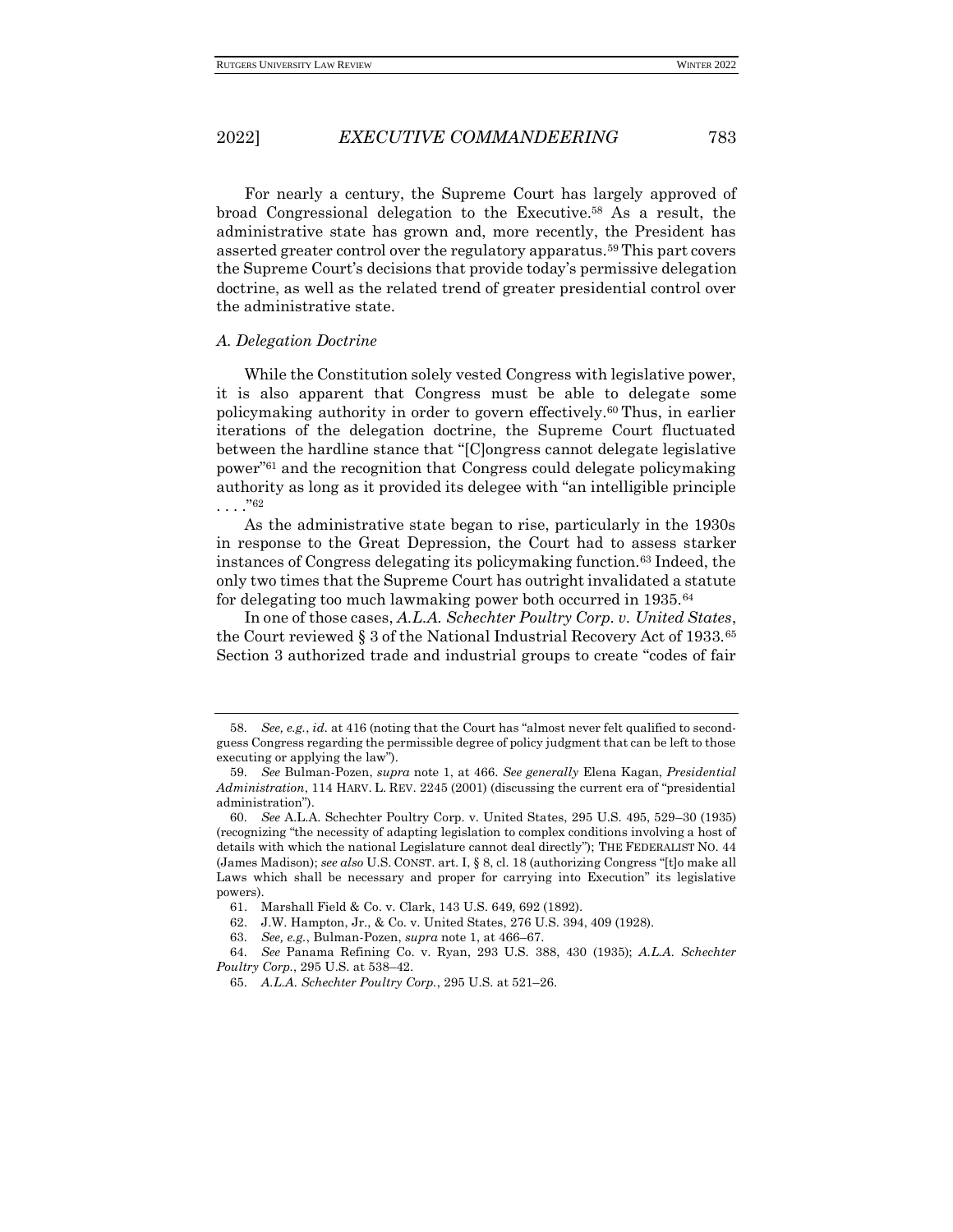For nearly a century, the Supreme Court has largely approved of broad Congressional delegation to the Executive.<sup>58</sup> As a result, the administrative state has grown and, more recently, the President has asserted greater control over the regulatory apparatus.<sup>59</sup> This part covers the Supreme Court's decisions that provide today's permissive delegation doctrine, as well as the related trend of greater presidential control over the administrative state.

#### *A. Delegation Doctrine*

While the Constitution solely vested Congress with legislative power, it is also apparent that Congress must be able to delegate some policymaking authority in order to govern effectively.<sup>60</sup> Thus, in earlier iterations of the delegation doctrine, the Supreme Court fluctuated between the hardline stance that "[C]ongress cannot delegate legislative power"<sup>61</sup> and the recognition that Congress could delegate policymaking authority as long as it provided its delegee with "an intelligible principle  $.$ "62

As the administrative state began to rise, particularly in the 1930s in response to the Great Depression, the Court had to assess starker instances of Congress delegating its policymaking function.<sup>63</sup> Indeed, the only two times that the Supreme Court has outright invalidated a statute for delegating too much lawmaking power both occurred in 1935.<sup>64</sup>

In one of those cases, *A.L.A. Schechter Poultry Corp. v. United States*, the Court reviewed § 3 of the National Industrial Recovery Act of 1933.<sup>65</sup> Section 3 authorized trade and industrial groups to create "codes of fair

<sup>58</sup>*. See, e.g.*, *id.* at 416 (noting that the Court has "almost never felt qualified to secondguess Congress regarding the permissible degree of policy judgment that can be left to those executing or applying the law".

<sup>59</sup>*. See* Bulman-Pozen, *supra* note 1, at 466. *See generally* Elena Kagan, *Presidential Administration*, 114 HARV. L. REV. 2245 (2001) (discussing the current era of "presidential administration").

<sup>60</sup>*. See* A.L.A. Schechter Poultry Corp. v. United States, 295 U.S. 495, 529–30 (1935) (recognizing "the necessity of adapting legislation to complex conditions involving a host of details with which the national Legislature cannot deal directly"); THE FEDERALIST NO. 44 (James Madison); *see also* U.S. CONST. art. I, § 8, cl. 18 (authorizing Congress "[t]o make all Laws which shall be necessary and proper for carrying into Execution" its legislative powers).

<sup>61.</sup> Marshall Field & Co. v. Clark, 143 U.S. 649, 692 (1892).

<sup>62.</sup> J.W. Hampton, Jr., & Co. v. United States, 276 U.S. 394, 409 (1928).

<sup>63</sup>*. See, e.g.*, Bulman-Pozen, *supra* note 1, at 466–67.

<sup>64</sup>*. See* Panama Refining Co. v. Ryan, 293 U.S. 388, 430 (1935); *A.L.A. Schechter Poultry Corp.*, 295 U.S. at 538–42.

<sup>65</sup>*. A.L.A. Schechter Poultry Corp.*, 295 U.S. at 521–26.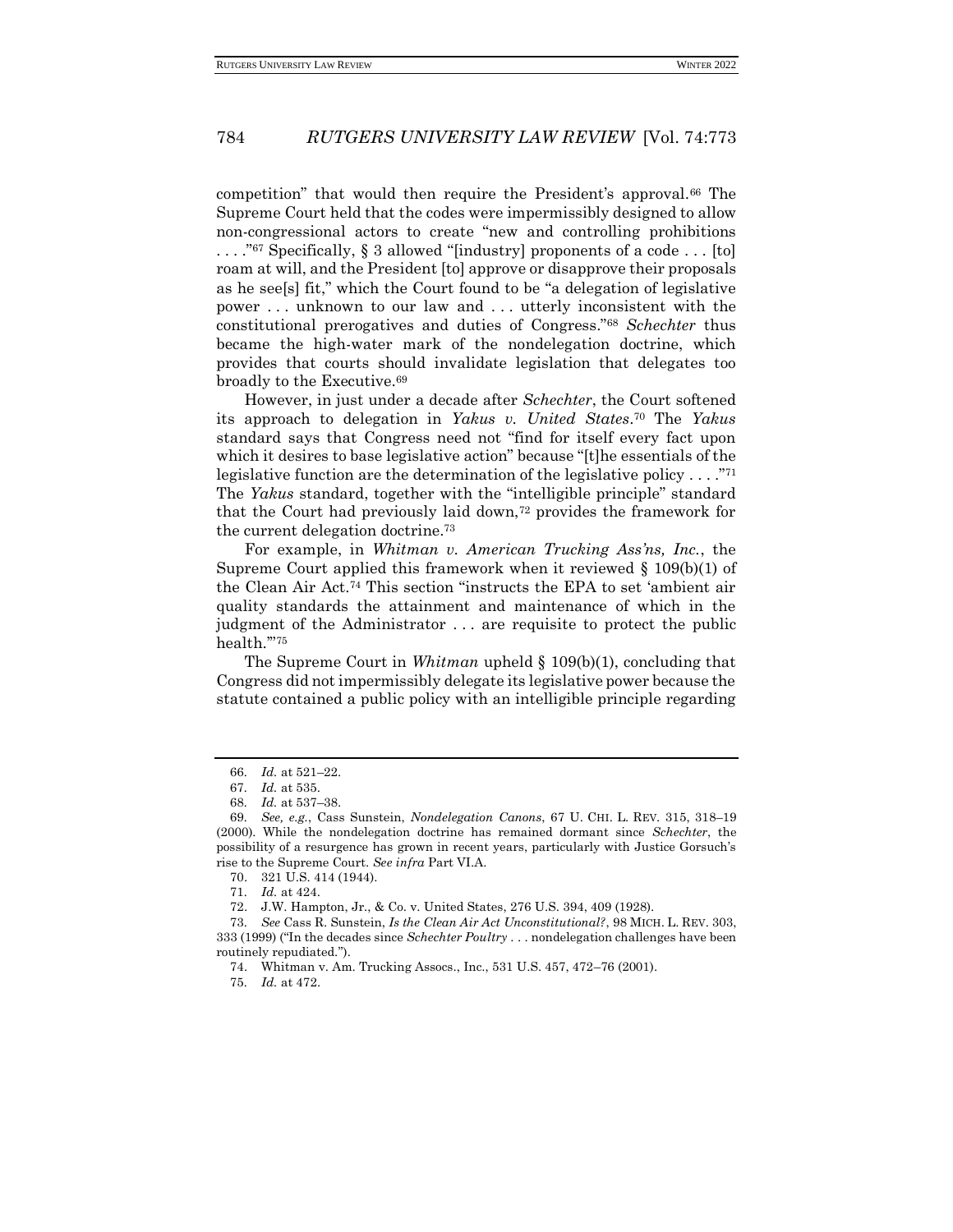competition" that would then require the President's approval.<sup>66</sup> The Supreme Court held that the codes were impermissibly designed to allow non-congressional actors to create "new and controlling prohibitions . . . ."<sup>67</sup> Specifically, § 3 allowed "[industry] proponents of a code . . . [to] roam at will, and the President [to] approve or disapprove their proposals as he see[s] fit," which the Court found to be "a delegation of legislative power . . . unknown to our law and . . . utterly inconsistent with the constitutional prerogatives and duties of Congress."<sup>68</sup> *Schechter* thus became the high-water mark of the nondelegation doctrine, which provides that courts should invalidate legislation that delegates too broadly to the Executive.<sup>69</sup>

However, in just under a decade after *Schechter*, the Court softened its approach to delegation in *Yakus v. United States*. <sup>70</sup> The *Yakus* standard says that Congress need not "find for itself every fact upon which it desires to base legislative action" because "[t]he essentials of the legislative function are the determination of the legislative policy  $\dots$ ."<sup>71</sup> The *Yakus* standard, together with the "intelligible principle" standard that the Court had previously laid down,<sup>72</sup> provides the framework for the current delegation doctrine.<sup>73</sup>

For example, in *Whitman v. American Trucking Ass'ns, Inc.*, the Supreme Court applied this framework when it reviewed § 109(b)(1) of the Clean Air Act.<sup>74</sup> This section "instructs the EPA to set 'ambient air quality standards the attainment and maintenance of which in the judgment of the Administrator . . . are requisite to protect the public health.'"<sup>75</sup>

The Supreme Court in *Whitman* upheld § 109(b)(1), concluding that Congress did not impermissibly delegate its legislative power because the statute contained a public policy with an intelligible principle regarding

<sup>66</sup>*. Id.* at 521–22.

<sup>67</sup>*. Id.* at 535.

<sup>68</sup>*. Id.* at 537–38.

<sup>69</sup>*. See, e.g.*, Cass Sunstein, *Nondelegation Canons*, 67 U. CHI. L. REV. 315, 318–19 (2000). While the nondelegation doctrine has remained dormant since *Schechter*, the possibility of a resurgence has grown in recent years, particularly with Justice Gorsuch's rise to the Supreme Court. *See infra* Part VI.A.

<sup>70.</sup> 321 U.S. 414 (1944).

<sup>71</sup>*. Id.* at 424.

<sup>72.</sup> J.W. Hampton, Jr., & Co. v. United States, 276 U.S. 394, 409 (1928).

<sup>73</sup>*. See* Cass R. Sunstein, *Is the Clean Air Act Unconstitutional?*, 98 MICH. L. REV. 303, 333 (1999) ("In the decades since *Schechter Poultry* . . . nondelegation challenges have been routinely repudiated.").

<sup>74.</sup> Whitman v. Am. Trucking Assocs., Inc., 531 U.S. 457, 472–76 (2001).

<sup>75</sup>*. Id.* at 472.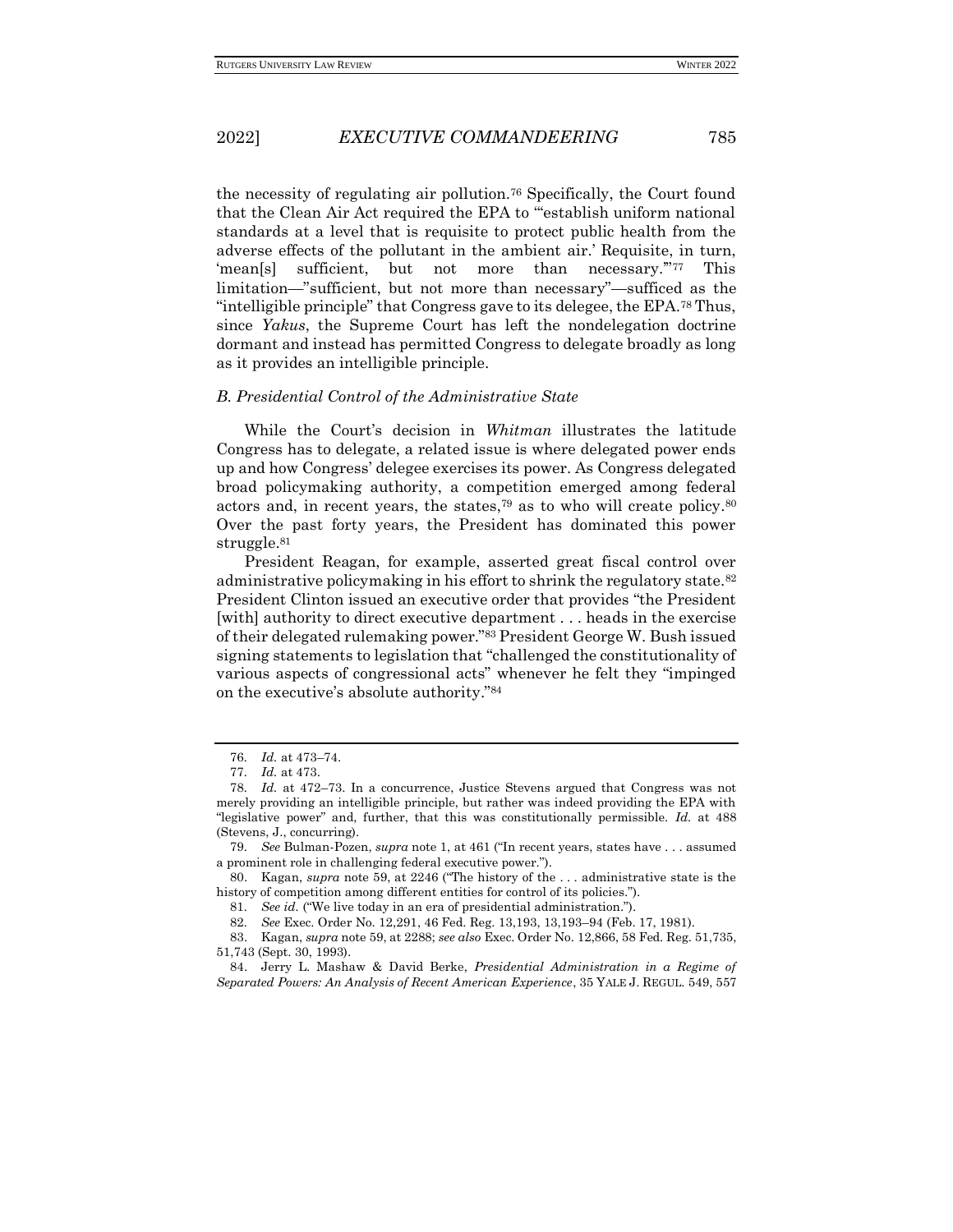the necessity of regulating air pollution.<sup>76</sup> Specifically, the Court found that the Clean Air Act required the EPA to "'establish uniform national standards at a level that is requisite to protect public health from the adverse effects of the pollutant in the ambient air.' Requisite, in turn, 'mean[s] sufficient, but not more than necessary.'"<sup>77</sup> This limitation—"sufficient, but not more than necessary"—sufficed as the "intelligible principle" that Congress gave to its delegee, the EPA.<sup>78</sup> Thus, since *Yakus*, the Supreme Court has left the nondelegation doctrine dormant and instead has permitted Congress to delegate broadly as long as it provides an intelligible principle.

#### *B. Presidential Control of the Administrative State*

While the Court's decision in *Whitman* illustrates the latitude Congress has to delegate, a related issue is where delegated power ends up and how Congress' delegee exercises its power. As Congress delegated broad policymaking authority, a competition emerged among federal actors and, in recent years, the states,<sup>79</sup> as to who will create policy.<sup>80</sup> Over the past forty years, the President has dominated this power struggle.<sup>81</sup>

President Reagan, for example, asserted great fiscal control over administrative policymaking in his effort to shrink the regulatory state.<sup>82</sup> President Clinton issued an executive order that provides "the President [with] authority to direct executive department . . . heads in the exercise of their delegated rulemaking power."<sup>83</sup> President George W. Bush issued signing statements to legislation that "challenged the constitutionality of various aspects of congressional acts" whenever he felt they "impinged on the executive's absolute authority."<sup>84</sup>

81*. See id.* ("We live today in an era of presidential administration.").

84. Jerry L. Mashaw & David Berke, *Presidential Administration in a Regime of Separated Powers: An Analysis of Recent American Experience*, 35 YALE J. REGUL. 549, 557

<sup>76</sup>*. Id.* at 473–74.

<sup>77</sup>*. Id.* at 473.

<sup>78</sup>*. Id.* at 472–73. In a concurrence, Justice Stevens argued that Congress was not merely providing an intelligible principle, but rather was indeed providing the EPA with "legislative power" and, further, that this was constitutionally permissible. *Id.* at 488 (Stevens, J., concurring).

<sup>79</sup>*. See* Bulman-Pozen, *supra* note 1, at 461 ("In recent years, states have . . . assumed a prominent role in challenging federal executive power.").

<sup>80.</sup> Kagan, *supra* note 59, at 2246 ("The history of the . . . administrative state is the history of competition among different entities for control of its policies.").

<sup>82</sup>*. See* Exec. Order No. 12,291, 46 Fed. Reg. 13,193, 13,193–94 (Feb. 17, 1981).

<sup>83.</sup> Kagan, *supra* note 59, at 2288; *see also* Exec. Order No. 12,866, 58 Fed. Reg. 51,735, 51,743 (Sept. 30, 1993).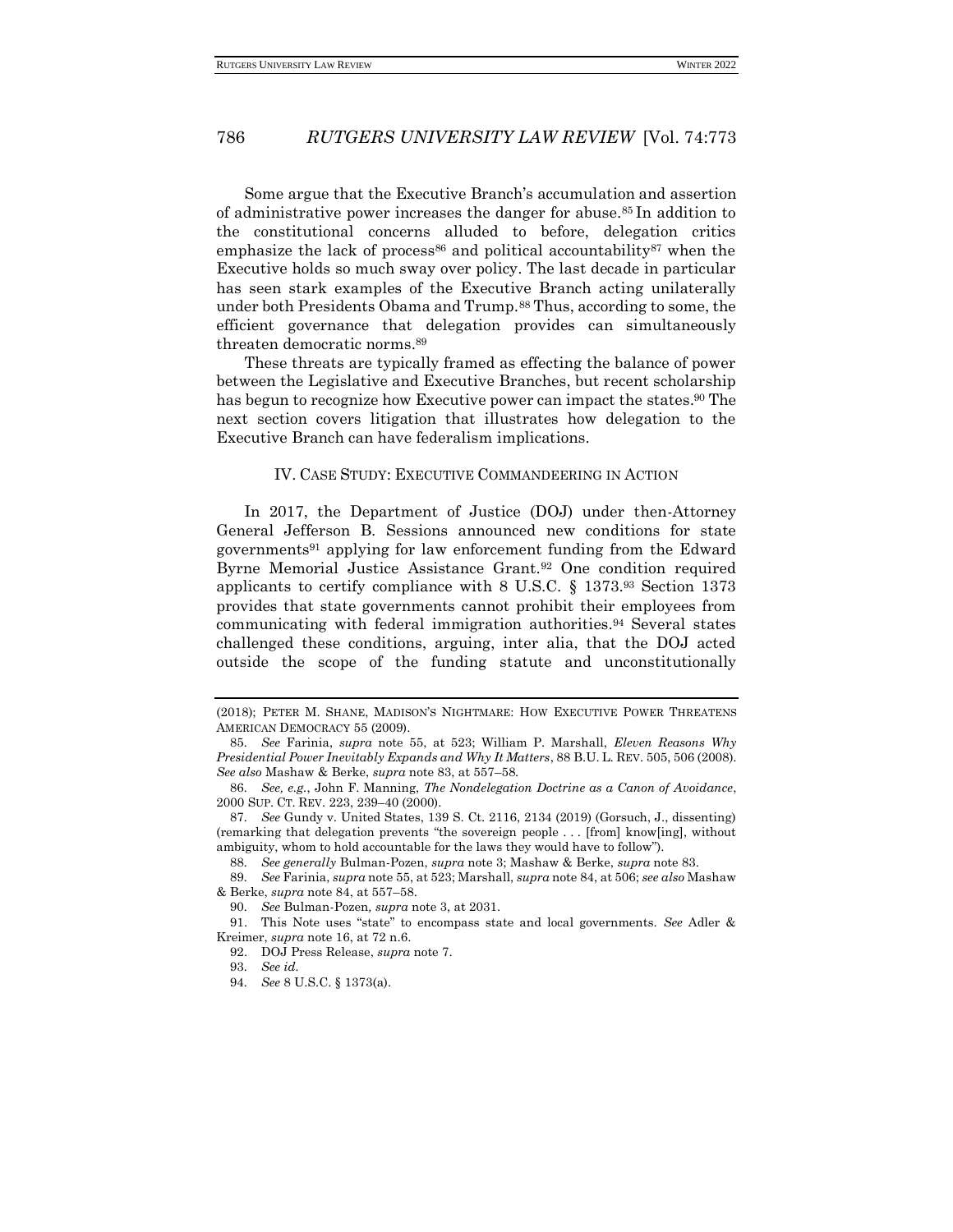Some argue that the Executive Branch's accumulation and assertion of administrative power increases the danger for abuse.<sup>85</sup> In addition to the constitutional concerns alluded to before, delegation critics emphasize the lack of process<sup>86</sup> and political accountability<sup>87</sup> when the Executive holds so much sway over policy. The last decade in particular has seen stark examples of the Executive Branch acting unilaterally under both Presidents Obama and Trump.<sup>88</sup> Thus, according to some, the efficient governance that delegation provides can simultaneously threaten democratic norms.<sup>89</sup>

These threats are typically framed as effecting the balance of power between the Legislative and Executive Branches, but recent scholarship has begun to recognize how Executive power can impact the states.<sup>90</sup> The next section covers litigation that illustrates how delegation to the Executive Branch can have federalism implications.

#### IV. CASE STUDY: EXECUTIVE COMMANDEERING IN ACTION

In 2017, the Department of Justice (DOJ) under then-Attorney General Jefferson B. Sessions announced new conditions for state governments<sup>91</sup> applying for law enforcement funding from the Edward Byrne Memorial Justice Assistance Grant.<sup>92</sup> One condition required applicants to certify compliance with 8 U.S.C. § 1373.<sup>93</sup> Section 1373 provides that state governments cannot prohibit their employees from communicating with federal immigration authorities.<sup>94</sup> Several states challenged these conditions, arguing, inter alia, that the DOJ acted outside the scope of the funding statute and unconstitutionally

<sup>(2018);</sup> PETER M. SHANE, MADISON'S NIGHTMARE: HOW EXECUTIVE POWER THREATENS AMERICAN DEMOCRACY 55 (2009).

<sup>85</sup>*. See* Farinia, *supra* note 55, at 523; William P. Marshall, *Eleven Reasons Why Presidential Power Inevitably Expands and Why It Matters*, 88 B.U. L. REV. 505, 506 (2008). *See also* Mashaw & Berke, *supra* note 83, at 557–58.

<sup>86</sup>*. See, e.g.*, John F. Manning, *The Nondelegation Doctrine as a Canon of Avoidance*, 2000 SUP. CT. REV. 223, 239–40 (2000).

<sup>87</sup>*. See* Gundy v. United States, 139 S. Ct. 2116, 2134 (2019) (Gorsuch, J., dissenting) (remarking that delegation prevents "the sovereign people . . . [from] know[ing], without ambiguity, whom to hold accountable for the laws they would have to follow").

<sup>88</sup>*. See generally* Bulman-Pozen, *supra* note 3; Mashaw & Berke, *supra* note 83.

<sup>89</sup>*. See* Farinia, *supra* note 55, at 523; Marshall, *supra* note 84, at 506; *see also* Mashaw & Berke, *supra* note 84, at 557–58.

<sup>90</sup>*. See* Bulman-Pozen*, supra* note 3, at 2031.

<sup>91.</sup> This Note uses "state" to encompass state and local governments. *See* Adler & Kreimer, *supra* note 16, at 72 n.6.

<sup>92.</sup> DOJ Press Release, *supra* note 7.

<sup>93</sup>*. See id.*

<sup>94</sup>*. See* 8 U.S.C. § 1373(a).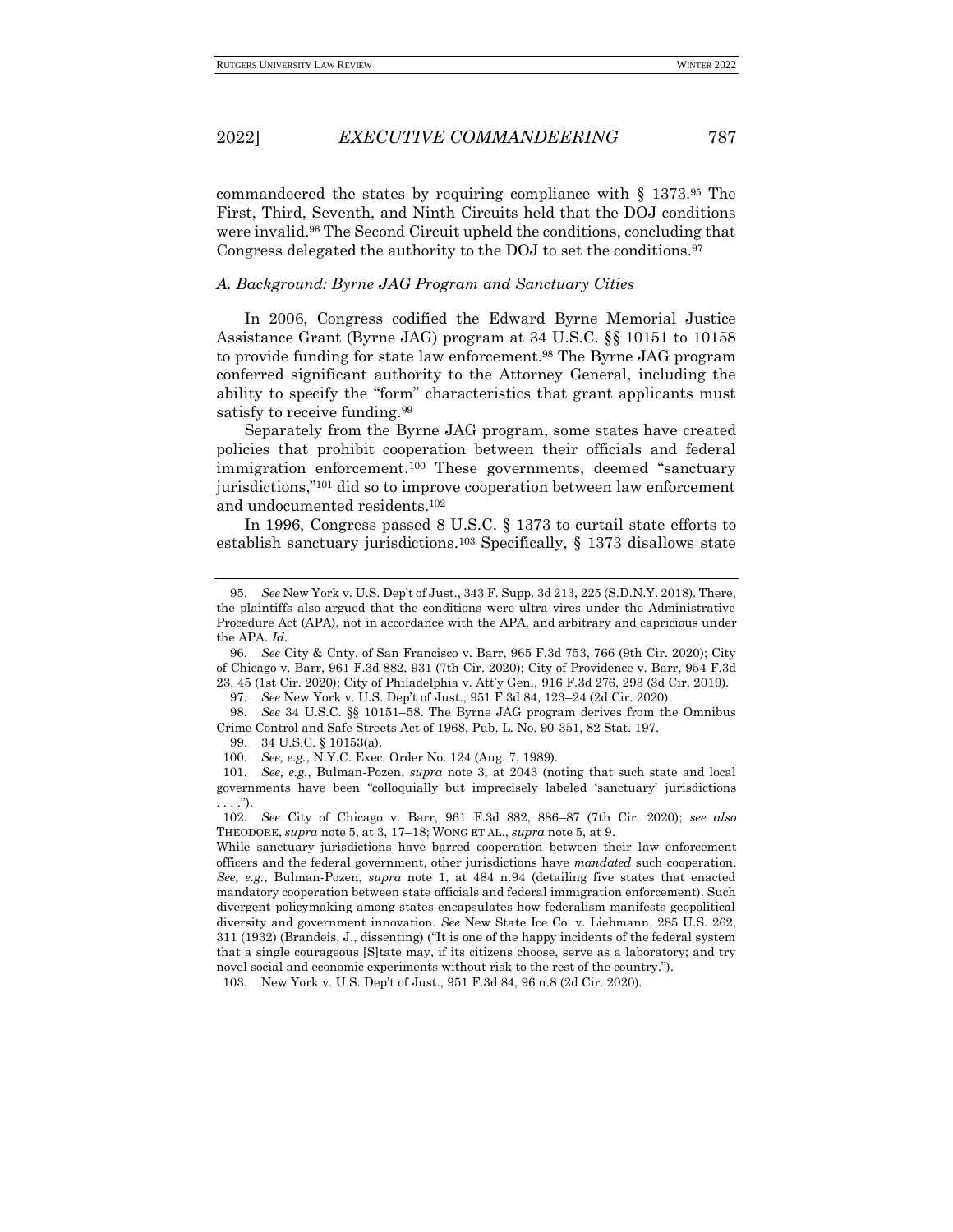commandeered the states by requiring compliance with § 1373.<sup>95</sup> The First, Third, Seventh, and Ninth Circuits held that the DOJ conditions were invalid.<sup>96</sup> The Second Circuit upheld the conditions, concluding that Congress delegated the authority to the DOJ to set the conditions.<sup>97</sup>

### *A. Background: Byrne JAG Program and Sanctuary Cities*

In 2006, Congress codified the Edward Byrne Memorial Justice Assistance Grant (Byrne JAG) program at 34 U.S.C. §§ 10151 to 10158 to provide funding for state law enforcement.<sup>98</sup> The Byrne JAG program conferred significant authority to the Attorney General, including the ability to specify the "form" characteristics that grant applicants must satisfy to receive funding.<sup>99</sup>

Separately from the Byrne JAG program, some states have created policies that prohibit cooperation between their officials and federal immigration enforcement.<sup>100</sup> These governments, deemed "sanctuary jurisdictions,"<sup>101</sup> did so to improve cooperation between law enforcement and undocumented residents.<sup>102</sup>

In 1996, Congress passed 8 U.S.C. § 1373 to curtail state efforts to establish sanctuary jurisdictions.<sup>103</sup> Specifically, § 1373 disallows state

97*. See* New York v. U.S. Dep't of Just., 951 F.3d 84, 123–24 (2d Cir. 2020).

98*. See* 34 U.S.C. §§ 10151–58. The Byrne JAG program derives from the Omnibus Crime Control and Safe Streets Act of 1968, Pub. L. No. 90-351, 82 Stat. 197.

99. 34 U.S.C. § 10153(a).

100*. See, e.g.*, N.Y.C. Exec. Order No. 124 (Aug. 7, 1989).

101*. See, e.g.*, Bulman-Pozen, *supra* note 3, at 2043 (noting that such state and local governments have been "colloquially but imprecisely labeled 'sanctuary' jurisdictions  $\ldots$ .").

103. New York v. U.S. Dep't of Just., 951 F.3d 84, 96 n.8 (2d Cir. 2020).

<sup>95</sup>*. See* New York v. U.S. Dep't of Just., 343 F. Supp. 3d 213, 225 (S.D.N.Y. 2018). There, the plaintiffs also argued that the conditions were ultra vires under the Administrative Procedure Act (APA), not in accordance with the APA, and arbitrary and capricious under the APA. *Id.*

<sup>96</sup>*. See* City & Cnty. of San Francisco v. Barr, 965 F.3d 753, 766 (9th Cir. 2020); City of Chicago v. Barr, 961 F.3d 882, 931 (7th Cir. 2020); City of Providence v. Barr, 954 F.3d 23, 45 (1st Cir. 2020); City of Philadelphia v. Att'y Gen., 916 F.3d 276, 293 (3d Cir. 2019).

<sup>102</sup>*. See* City of Chicago v. Barr, 961 F.3d 882, 886–87 (7th Cir. 2020); *see also* THEODORE, *supra* note 5, at 3, 17–18; WONG ET AL., *supra* note 5, at 9.

While sanctuary jurisdictions have barred cooperation between their law enforcement officers and the federal government, other jurisdictions have *mandated* such cooperation. *See, e.g.*, Bulman-Pozen, *supra* note 1, at 484 n.94 (detailing five states that enacted mandatory cooperation between state officials and federal immigration enforcement). Such divergent policymaking among states encapsulates how federalism manifests geopolitical diversity and government innovation. *See* New State Ice Co. v. Liebmann, 285 U.S. 262, 311 (1932) (Brandeis, J., dissenting) ("It is one of the happy incidents of the federal system that a single courageous [S]tate may, if its citizens choose, serve as a laboratory; and try novel social and economic experiments without risk to the rest of the country.").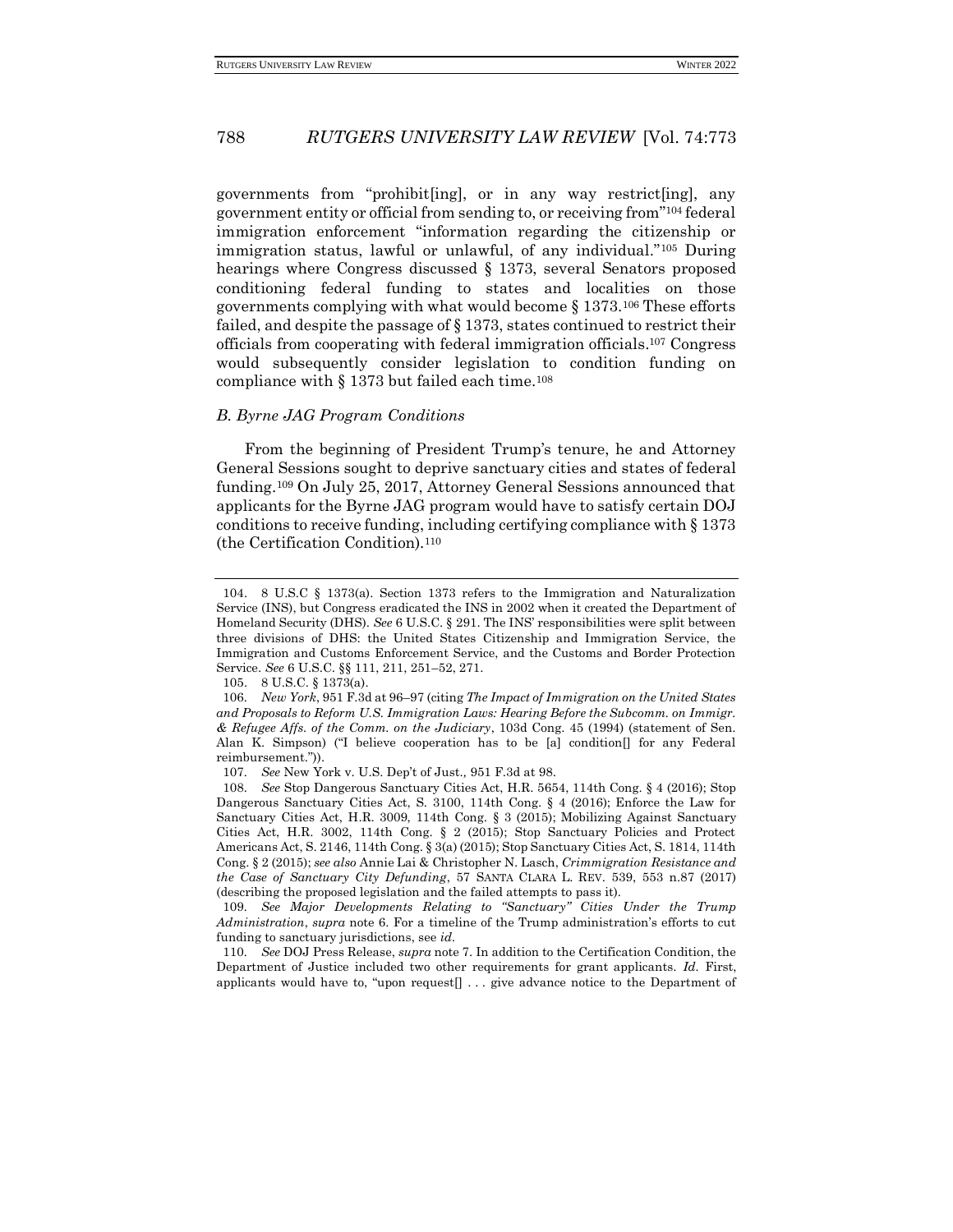governments from "prohibit[ing], or in any way restrict[ing], any government entity or official from sending to, or receiving from"<sup>104</sup> federal immigration enforcement "information regarding the citizenship or immigration status, lawful or unlawful, of any individual."<sup>105</sup> During hearings where Congress discussed § 1373, several Senators proposed conditioning federal funding to states and localities on those governments complying with what would become § 1373.<sup>106</sup> These efforts failed, and despite the passage of § 1373, states continued to restrict their officials from cooperating with federal immigration officials.<sup>107</sup> Congress would subsequently consider legislation to condition funding on compliance with  $\S$  1373 but failed each time.<sup>108</sup>

#### *B. Byrne JAG Program Conditions*

From the beginning of President Trump's tenure, he and Attorney General Sessions sought to deprive sanctuary cities and states of federal funding.<sup>109</sup> On July 25, 2017, Attorney General Sessions announced that applicants for the Byrne JAG program would have to satisfy certain DOJ conditions to receive funding, including certifying compliance with § 1373 (the Certification Condition).<sup>110</sup>

<sup>104.</sup> 8 U.S.C § 1373(a). Section 1373 refers to the Immigration and Naturalization Service (INS), but Congress eradicated the INS in 2002 when it created the Department of Homeland Security (DHS). *See* 6 U.S.C. § 291. The INS' responsibilities were split between three divisions of DHS: the United States Citizenship and Immigration Service, the Immigration and Customs Enforcement Service, and the Customs and Border Protection Service. *See* 6 U.S.C. §§ 111, 211, 251–52, 271.

<sup>105.</sup> 8 U.S.C. § 1373(a).

<sup>106</sup>*. New York*, 951 F.3d at 96–97 (citing *The Impact of Immigration on the United States and Proposals to Reform U.S. Immigration Laws: Hearing Before the Subcomm. on Immigr. & Refugee Affs. of the Comm. on the Judiciary*, 103d Cong. 45 (1994) (statement of Sen. Alan K. Simpson) ("I believe cooperation has to be [a] condition[] for any Federal reimbursement.")).

<sup>107</sup>*. See* New York v. U.S. Dep't of Just.*,* 951 F.3d at 98.

<sup>108</sup>*. See* Stop Dangerous Sanctuary Cities Act, H.R. 5654, 114th Cong. § 4 (2016); Stop Dangerous Sanctuary Cities Act, S. 3100, 114th Cong. § 4 (2016); Enforce the Law for Sanctuary Cities Act, H.R. 3009, 114th Cong. § 3 (2015); Mobilizing Against Sanctuary Cities Act, H.R. 3002, 114th Cong. § 2 (2015); Stop Sanctuary Policies and Protect Americans Act, S. 2146, 114th Cong. § 3(a) (2015); Stop Sanctuary Cities Act, S. 1814, 114th Cong. § 2 (2015); *see also* Annie Lai & Christopher N. Lasch, *Crimmigration Resistance and the Case of Sanctuary City Defunding*, 57 SANTA CLARA L. REV. 539, 553 n.87 (2017) (describing the proposed legislation and the failed attempts to pass it).

<sup>109</sup>*. See Major Developments Relating to "Sanctuary" Cities Under the Trump Administration*, *supra* note 6. For a timeline of the Trump administration's efforts to cut funding to sanctuary jurisdictions, see *id.*

<sup>110</sup>*. See* DOJ Press Release, *supra* note 7. In addition to the Certification Condition, the Department of Justice included two other requirements for grant applicants. *Id.* First, applicants would have to, "upon request[] . . . give advance notice to the Department of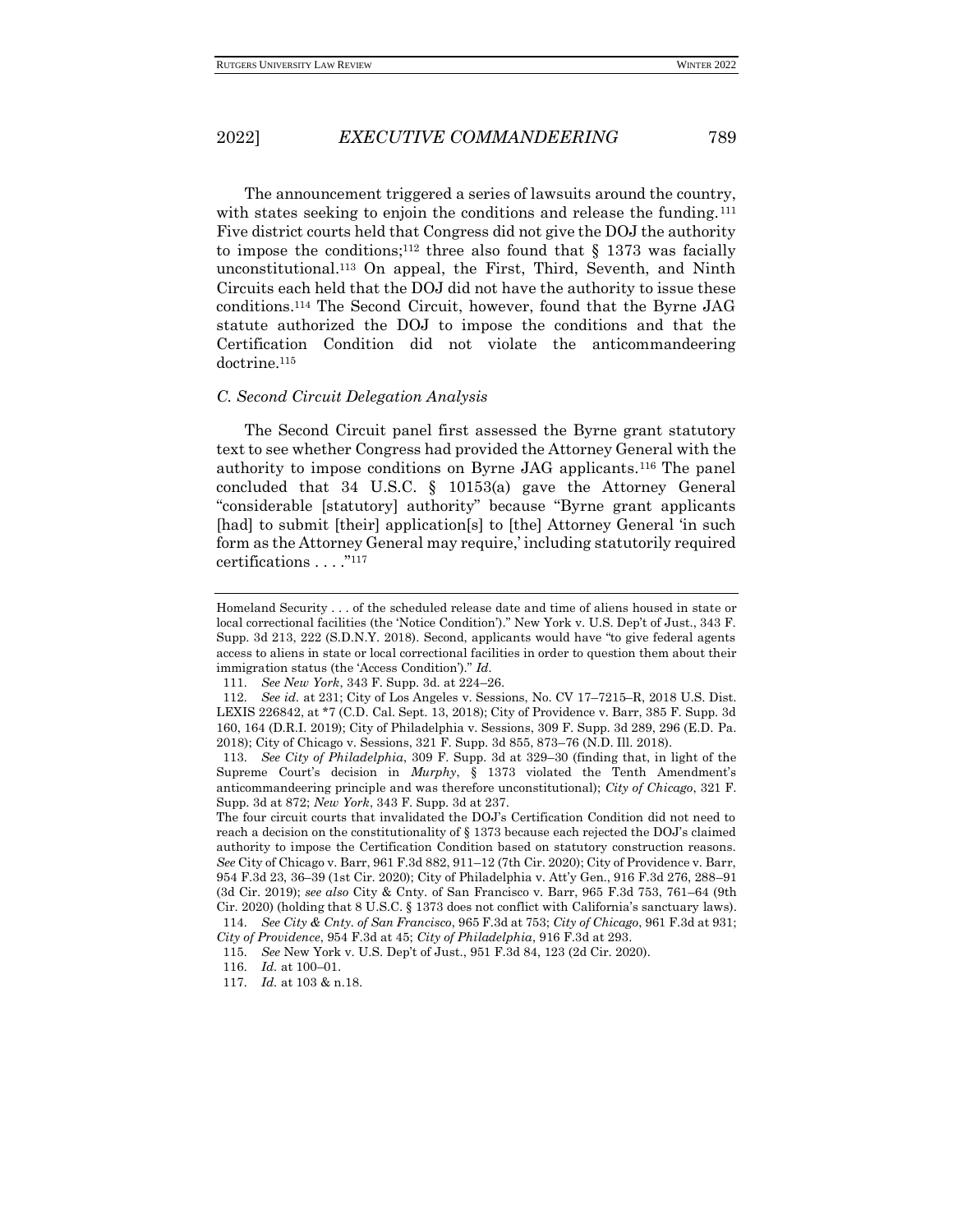The announcement triggered a series of lawsuits around the country, with states seeking to enjoin the conditions and release the funding.<sup>111</sup> Five district courts held that Congress did not give the DOJ the authority to impose the conditions;<sup>112</sup> three also found that  $\S$  1373 was facially unconstitutional.<sup>113</sup> On appeal, the First, Third, Seventh, and Ninth Circuits each held that the DOJ did not have the authority to issue these conditions.<sup>114</sup> The Second Circuit, however, found that the Byrne JAG statute authorized the DOJ to impose the conditions and that the Certification Condition did not violate the anticommandeering doctrine.<sup>115</sup>

#### *C. Second Circuit Delegation Analysis*

The Second Circuit panel first assessed the Byrne grant statutory text to see whether Congress had provided the Attorney General with the authority to impose conditions on Byrne JAG applicants.<sup>116</sup> The panel concluded that 34 U.S.C. § 10153(a) gave the Attorney General "considerable [statutory] authority" because "Byrne grant applicants [had] to submit [their] application[s] to [the] Attorney General 'in such form as the Attorney General may require,' including statutorily required certifications . . . ."<sup>117</sup>

Homeland Security . . . of the scheduled release date and time of aliens housed in state or local correctional facilities (the 'Notice Condition')." New York v. U.S. Dep't of Just., 343 F. Supp. 3d 213, 222 (S.D.N.Y. 2018). Second, applicants would have "to give federal agents access to aliens in state or local correctional facilities in order to question them about their immigration status (the 'Access Condition')." *Id.*

<sup>111</sup>*. See New York*, 343 F. Supp. 3d. at 224–26.

<sup>112</sup>*. See id.* at 231; City of Los Angeles v. Sessions, No. CV 17–7215–R, 2018 U.S. Dist. LEXIS 226842, at \*7 (C.D. Cal. Sept. 13, 2018); City of Providence v. Barr, 385 F. Supp. 3d 160, 164 (D.R.I. 2019); City of Philadelphia v. Sessions, 309 F. Supp. 3d 289, 296 (E.D. Pa. 2018); City of Chicago v. Sessions, 321 F. Supp. 3d 855, 873–76 (N.D. Ill. 2018).

<sup>113</sup>*. See City of Philadelphia*, 309 F. Supp. 3d at 329–30 (finding that, in light of the Supreme Court's decision in *Murphy*, § 1373 violated the Tenth Amendment's anticommandeering principle and was therefore unconstitutional); *City of Chicago*, 321 F. Supp. 3d at 872; *New York*, 343 F. Supp. 3d at 237.

The four circuit courts that invalidated the DOJ's Certification Condition did not need to reach a decision on the constitutionality of § 1373 because each rejected the DOJ's claimed authority to impose the Certification Condition based on statutory construction reasons. *See* City of Chicago v. Barr, 961 F.3d 882, 911–12 (7th Cir. 2020); City of Providence v. Barr, 954 F.3d 23, 36–39 (1st Cir. 2020); City of Philadelphia v. Att'y Gen., 916 F.3d 276, 288–91 (3d Cir. 2019); *see also* City & Cnty. of San Francisco v. Barr, 965 F.3d 753, 761–64 (9th Cir. 2020) (holding that 8 U.S.C. § 1373 does not conflict with California's sanctuary laws). 114*. See City & Cnty. of San Francisco*, 965 F.3d at 753; *City of Chicago*, 961 F.3d at 931;

*City of Providence*, 954 F.3d at 45; *City of Philadelphia*, 916 F.3d at 293. 115*. See* New York v. U.S. Dep't of Just., 951 F.3d 84, 123 (2d Cir. 2020).

<sup>116</sup>*. Id.* at 100–01.

<sup>117</sup>*. Id.* at 103 & n.18.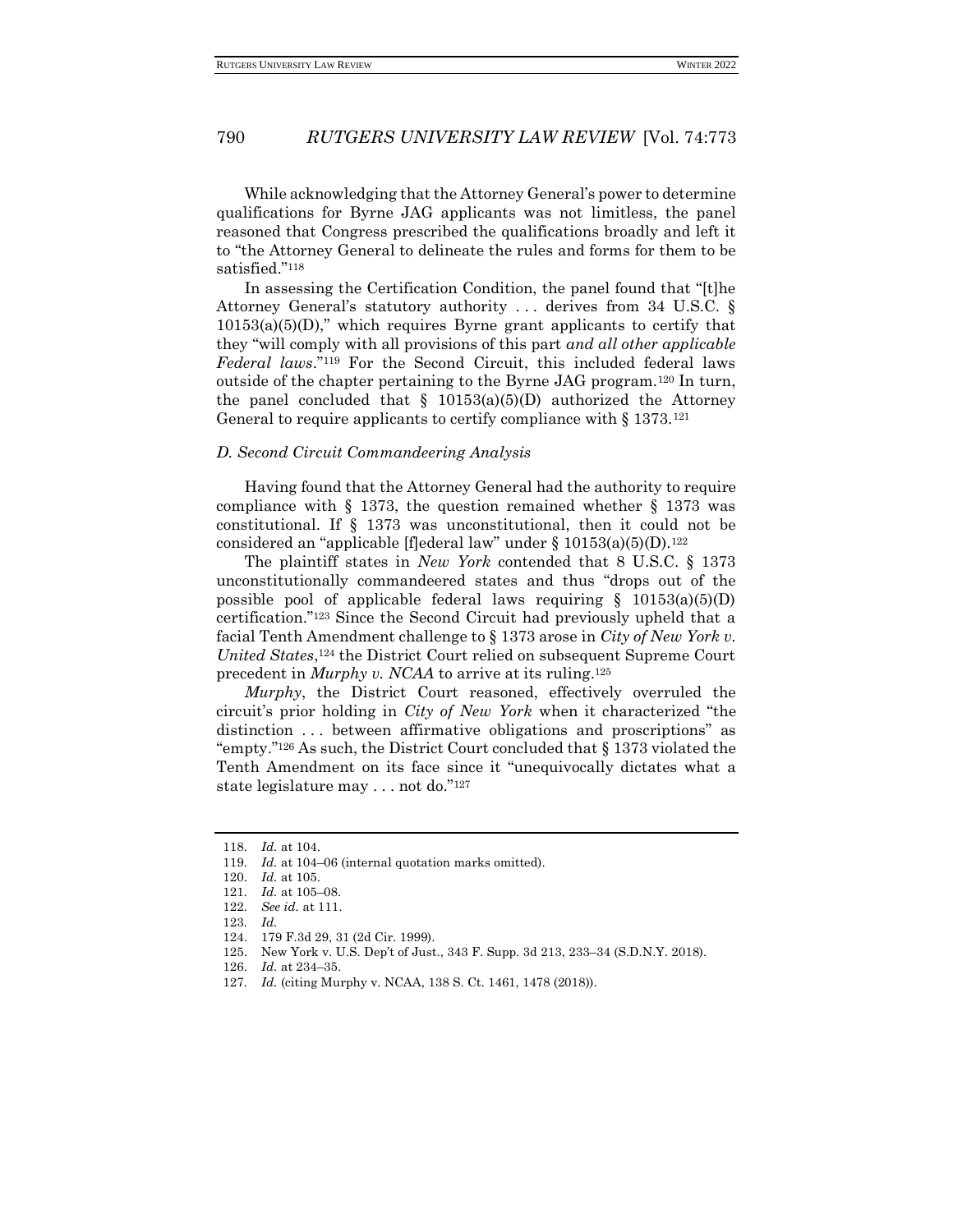While acknowledging that the Attorney General's power to determine qualifications for Byrne JAG applicants was not limitless, the panel reasoned that Congress prescribed the qualifications broadly and left it to "the Attorney General to delineate the rules and forms for them to be satisfied."<sup>118</sup>

In assessing the Certification Condition, the panel found that "[t]he Attorney General's statutory authority . . . derives from 34 U.S.C. §  $10153(a)(5)(D)$ ," which requires Byrne grant applicants to certify that they "will comply with all provisions of this part *and all other applicable Federal laws*."<sup>119</sup> For the Second Circuit, this included federal laws outside of the chapter pertaining to the Byrne JAG program.<sup>120</sup> In turn, the panel concluded that  $\S$  10153(a)(5)(D) authorized the Attorney General to require applicants to certify compliance with  $\S 1373$ .<sup>121</sup>

#### *D. Second Circuit Commandeering Analysis*

Having found that the Attorney General had the authority to require compliance with § 1373, the question remained whether § 1373 was constitutional. If § 1373 was unconstitutional, then it could not be considered an "applicable [f]ederal law" under §  $10153(a)(5)(D)$ .<sup>122</sup>

The plaintiff states in *New York* contended that 8 U.S.C. § 1373 unconstitutionally commandeered states and thus "drops out of the possible pool of applicable federal laws requiring  $\S$  10153(a)(5)(D) certification."<sup>123</sup> Since the Second Circuit had previously upheld that a facial Tenth Amendment challenge to § 1373 arose in *City of New York v. United States*, <sup>124</sup> the District Court relied on subsequent Supreme Court precedent in *Murphy v. NCAA* to arrive at its ruling.<sup>125</sup>

*Murphy*, the District Court reasoned, effectively overruled the circuit's prior holding in *City of New York* when it characterized "the distinction . . . between affirmative obligations and proscriptions" as "empty."<sup>126</sup> As such, the District Court concluded that § 1373 violated the Tenth Amendment on its face since it "unequivocally dictates what a state legislature may . . . not do."<sup>127</sup>

<sup>118</sup>*. Id.* at 104.

<sup>119</sup>*. Id.* at 104–06 (internal quotation marks omitted).

<sup>120</sup>*. Id.* at 105.

<sup>121</sup>*. Id.* at 105–08.

<sup>122</sup>*. See id.* at 111.

<sup>123</sup>*. Id.*

<sup>124.</sup> 179 F.3d 29, 31 (2d Cir. 1999).

<sup>125.</sup> New York v. U.S. Dep't of Just., 343 F. Supp. 3d 213, 233–34 (S.D.N.Y. 2018).

<sup>126</sup>*. Id.* at 234–35.

<sup>127</sup>*. Id.* (citing Murphy v. NCAA, 138 S. Ct. 1461, 1478 (2018)).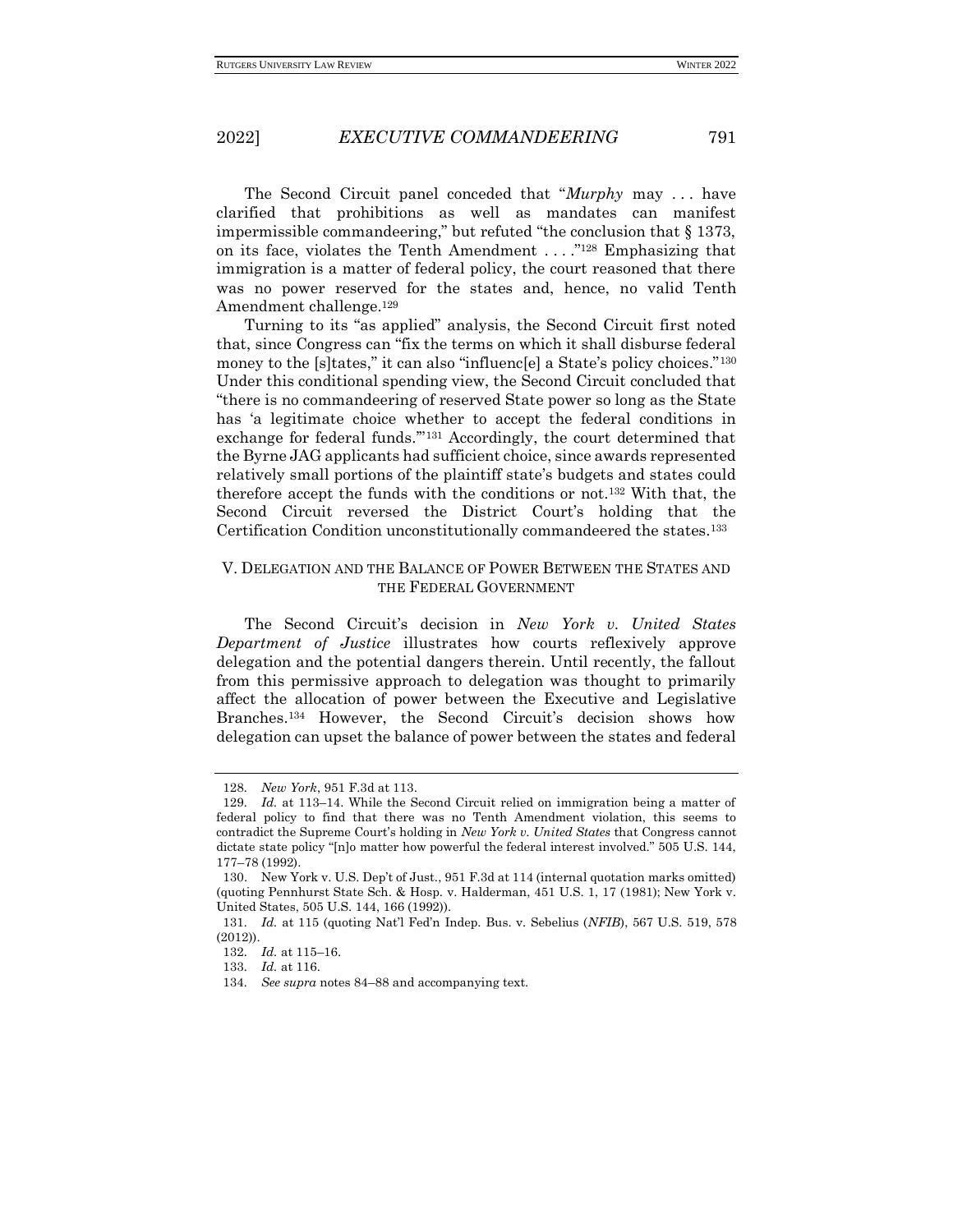The Second Circuit panel conceded that "*Murphy* may . . . have clarified that prohibitions as well as mandates can manifest impermissible commandeering," but refuted "the conclusion that § 1373, on its face, violates the Tenth Amendment . . . ."<sup>128</sup> Emphasizing that immigration is a matter of federal policy, the court reasoned that there was no power reserved for the states and, hence, no valid Tenth Amendment challenge.<sup>129</sup>

Turning to its "as applied" analysis, the Second Circuit first noted that, since Congress can "fix the terms on which it shall disburse federal money to the [s]tates," it can also "influenc[e] a State's policy choices."<sup>130</sup> Under this conditional spending view, the Second Circuit concluded that "there is no commandeering of reserved State power so long as the State has 'a legitimate choice whether to accept the federal conditions in exchange for federal funds.'"<sup>131</sup> Accordingly, the court determined that the Byrne JAG applicants had sufficient choice, since awards represented relatively small portions of the plaintiff state's budgets and states could therefore accept the funds with the conditions or not.<sup>132</sup> With that, the Second Circuit reversed the District Court's holding that the Certification Condition unconstitutionally commandeered the states.<sup>133</sup>

### V. DELEGATION AND THE BALANCE OF POWER BETWEEN THE STATES AND THE FEDERAL GOVERNMENT

The Second Circuit's decision in *New York v. United States Department of Justice* illustrates how courts reflexively approve delegation and the potential dangers therein. Until recently, the fallout from this permissive approach to delegation was thought to primarily affect the allocation of power between the Executive and Legislative Branches.<sup>134</sup> However, the Second Circuit's decision shows how delegation can upset the balance of power between the states and federal

<sup>128</sup>*. New York*, 951 F.3d at 113.

<sup>129</sup>*. Id.* at 113–14. While the Second Circuit relied on immigration being a matter of federal policy to find that there was no Tenth Amendment violation, this seems to contradict the Supreme Court's holding in *New York v. United States* that Congress cannot dictate state policy "[n]o matter how powerful the federal interest involved." 505 U.S. 144, 177–78 (1992).

<sup>130.</sup> New York v. U.S. Dep't of Just., 951 F.3d at 114 (internal quotation marks omitted) (quoting Pennhurst State Sch. & Hosp. v. Halderman, 451 U.S. 1, 17 (1981); New York v. United States, 505 U.S. 144, 166 (1992)).

<sup>131</sup>*. Id.* at 115 (quoting Nat'l Fed'n Indep. Bus. v. Sebelius (*NFIB*), 567 U.S. 519, 578 (2012)).

<sup>132</sup>*. Id.* at 115–16.

<sup>133</sup>*. Id.* at 116.

<sup>134</sup>*. See supra* notes 84–88 and accompanying text.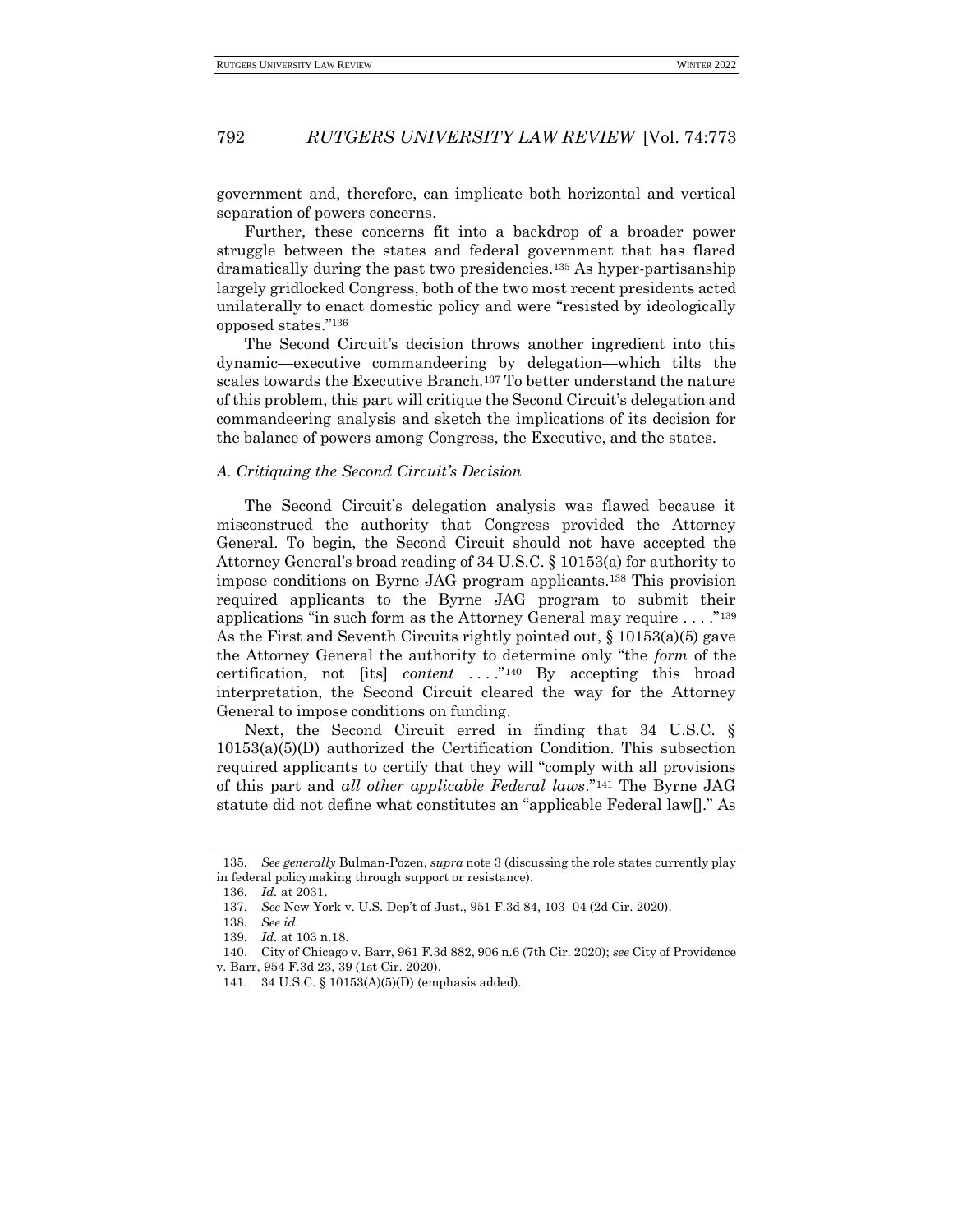government and, therefore, can implicate both horizontal and vertical separation of powers concerns.

Further, these concerns fit into a backdrop of a broader power struggle between the states and federal government that has flared dramatically during the past two presidencies.<sup>135</sup> As hyper-partisanship largely gridlocked Congress, both of the two most recent presidents acted unilaterally to enact domestic policy and were "resisted by ideologically opposed states."<sup>136</sup>

The Second Circuit's decision throws another ingredient into this dynamic—executive commandeering by delegation—which tilts the scales towards the Executive Branch.<sup>137</sup> To better understand the nature of this problem, this part will critique the Second Circuit's delegation and commandeering analysis and sketch the implications of its decision for the balance of powers among Congress, the Executive, and the states.

#### *A. Critiquing the Second Circuit's Decision*

The Second Circuit's delegation analysis was flawed because it misconstrued the authority that Congress provided the Attorney General. To begin, the Second Circuit should not have accepted the Attorney General's broad reading of 34 U.S.C. § 10153(a) for authority to impose conditions on Byrne JAG program applicants.<sup>138</sup> This provision required applicants to the Byrne JAG program to submit their applications "in such form as the Attorney General may require . . . ."<sup>139</sup> As the First and Seventh Circuits rightly pointed out,  $\S$  10153(a)(5) gave the Attorney General the authority to determine only "the *form* of the certification, not [its] *content* . . . ."<sup>140</sup> By accepting this broad interpretation, the Second Circuit cleared the way for the Attorney General to impose conditions on funding.

Next, the Second Circuit erred in finding that 34 U.S.C. § 10153(a)(5)(D) authorized the Certification Condition. This subsection required applicants to certify that they will "comply with all provisions of this part and *all other applicable Federal laws*."<sup>141</sup> The Byrne JAG statute did not define what constitutes an "applicable Federal law[]." As

<sup>135</sup>*. See generally* Bulman-Pozen, *supra* note 3 (discussing the role states currently play in federal policymaking through support or resistance).

<sup>136</sup>*. Id.* at 2031.

<sup>137</sup>*. See* New York v. U.S. Dep't of Just., 951 F.3d 84, 103–04 (2d Cir. 2020).

<sup>138</sup>*. See id.*

<sup>139</sup>*. Id.* at 103 n.18.

<sup>140.</sup> City of Chicago v. Barr, 961 F.3d 882, 906 n.6 (7th Cir. 2020); *see* City of Providence v. Barr, 954 F.3d 23, 39 (1st Cir. 2020).

<sup>141.</sup> 34 U.S.C. § 10153(A)(5)(D) (emphasis added).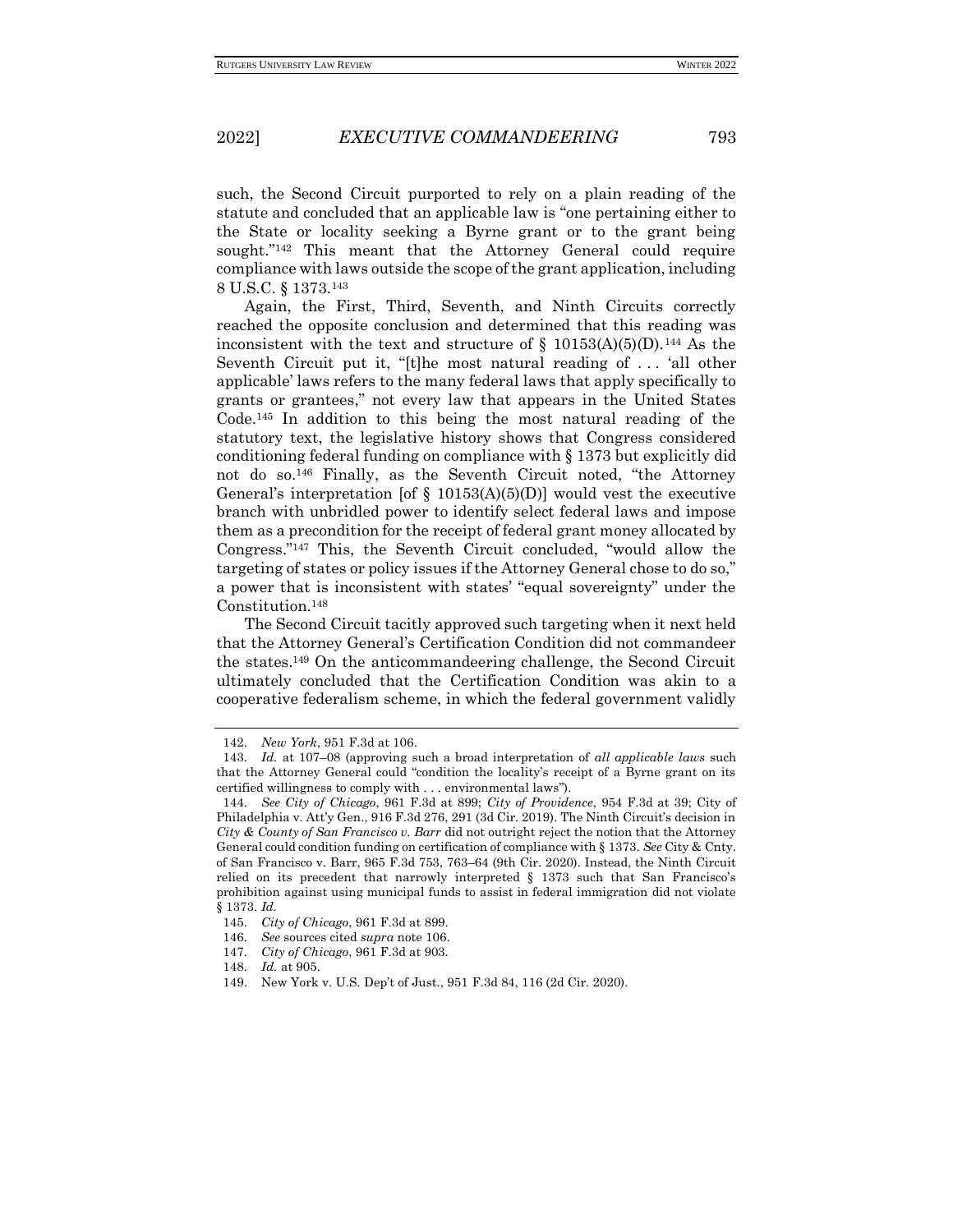such, the Second Circuit purported to rely on a plain reading of the statute and concluded that an applicable law is "one pertaining either to the State or locality seeking a Byrne grant or to the grant being sought."<sup>142</sup> This meant that the Attorney General could require compliance with laws outside the scope of the grant application, including 8 U.S.C. § 1373.<sup>143</sup>

Again, the First, Third, Seventh, and Ninth Circuits correctly reached the opposite conclusion and determined that this reading was inconsistent with the text and structure of  $\S$  10153(A)(5)(D).<sup>144</sup> As the Seventh Circuit put it, "[t]he most natural reading of . . . 'all other applicable' laws refers to the many federal laws that apply specifically to grants or grantees," not every law that appears in the United States Code.<sup>145</sup> In addition to this being the most natural reading of the statutory text, the legislative history shows that Congress considered conditioning federal funding on compliance with § 1373 but explicitly did not do so.<sup>146</sup> Finally, as the Seventh Circuit noted, "the Attorney General's interpretation [of  $\S$  10153(A)(5)(D)] would vest the executive branch with unbridled power to identify select federal laws and impose them as a precondition for the receipt of federal grant money allocated by Congress."<sup>147</sup> This, the Seventh Circuit concluded, "would allow the targeting of states or policy issues if the Attorney General chose to do so," a power that is inconsistent with states' "equal sovereignty" under the Constitution.<sup>148</sup>

The Second Circuit tacitly approved such targeting when it next held that the Attorney General's Certification Condition did not commandeer the states.<sup>149</sup> On the anticommandeering challenge, the Second Circuit ultimately concluded that the Certification Condition was akin to a cooperative federalism scheme, in which the federal government validly

<sup>142</sup>*. New York*, 951 F.3d at 106.

<sup>143</sup>*. Id.* at 107–08 (approving such a broad interpretation of *all applicable laws* such that the Attorney General could "condition the locality's receipt of a Byrne grant on its certified willingness to comply with . . . environmental laws").

<sup>144</sup>*. See City of Chicago*, 961 F.3d at 899; *City of Providence*, 954 F.3d at 39; City of Philadelphia v. Att'y Gen., 916 F.3d 276, 291 (3d Cir. 2019). The Ninth Circuit's decision in *City & County of San Francisco v. Barr* did not outright reject the notion that the Attorney General could condition funding on certification of compliance with § 1373. *See* City & Cnty. of San Francisco v. Barr, 965 F.3d 753, 763–64 (9th Cir. 2020). Instead, the Ninth Circuit relied on its precedent that narrowly interpreted  $\S$  1373 such that San Francisco's prohibition against using municipal funds to assist in federal immigration did not violate § 1373. *Id.*

<sup>145</sup>*. City of Chicago*, 961 F.3d at 899.

<sup>146</sup>*. See* sources cited *supra* note 106.

<sup>147</sup>*. City of Chicago*, 961 F.3d at 903.

<sup>148</sup>*. Id.* at 905.

<sup>149.</sup> New York v. U.S. Dep't of Just., 951 F.3d 84, 116 (2d Cir. 2020).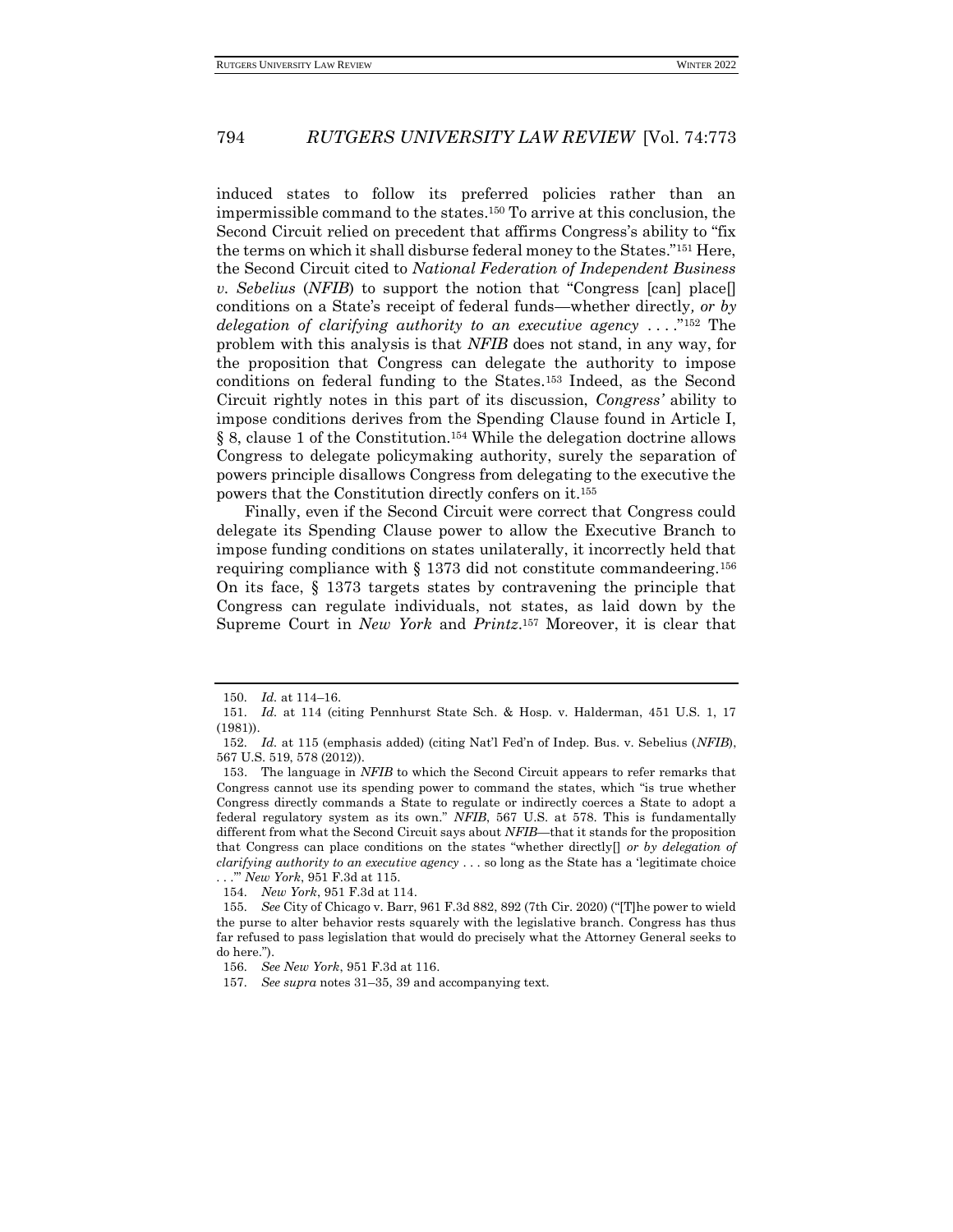induced states to follow its preferred policies rather than an impermissible command to the states.<sup>150</sup> To arrive at this conclusion, the Second Circuit relied on precedent that affirms Congress's ability to "fix the terms on which it shall disburse federal money to the States."<sup>151</sup> Here, the Second Circuit cited to *National Federation of Independent Business v. Sebelius* (*NFIB*) to support the notion that "Congress [can] place[] conditions on a State's receipt of federal funds—whether directly*, or by delegation of clarifying authority to an executive agency* . . . ."<sup>152</sup> The problem with this analysis is that *NFIB* does not stand, in any way, for the proposition that Congress can delegate the authority to impose conditions on federal funding to the States.<sup>153</sup> Indeed, as the Second Circuit rightly notes in this part of its discussion, *Congress'* ability to impose conditions derives from the Spending Clause found in Article I, § 8, clause 1 of the Constitution.<sup>154</sup> While the delegation doctrine allows Congress to delegate policymaking authority, surely the separation of powers principle disallows Congress from delegating to the executive the powers that the Constitution directly confers on it.<sup>155</sup>

Finally, even if the Second Circuit were correct that Congress could delegate its Spending Clause power to allow the Executive Branch to impose funding conditions on states unilaterally, it incorrectly held that requiring compliance with § 1373 did not constitute commandeering.<sup>156</sup> On its face, § 1373 targets states by contravening the principle that Congress can regulate individuals, not states, as laid down by the Supreme Court in *New York* and *Printz*. <sup>157</sup> Moreover, it is clear that

<sup>150</sup>*. Id.* at 114–16.

<sup>151</sup>*. Id.* at 114 (citing Pennhurst State Sch. & Hosp. v. Halderman, 451 U.S. 1, 17 (1981)).

<sup>152</sup>*. Id.* at 115 (emphasis added) (citing Nat'l Fed'n of Indep. Bus. v. Sebelius (*NFIB*), 567 U.S. 519, 578 (2012)).

<sup>153.</sup> The language in *NFIB* to which the Second Circuit appears to refer remarks that Congress cannot use its spending power to command the states, which "is true whether Congress directly commands a State to regulate or indirectly coerces a State to adopt a federal regulatory system as its own." *NFIB*, 567 U.S. at 578. This is fundamentally different from what the Second Circuit says about *NFIB*—that it stands for the proposition that Congress can place conditions on the states "whether directly[] *or by delegation of clarifying authority to an executive agency* . . . so long as the State has a 'legitimate choice . . .'" *New York*, 951 F.3d at 115.

<sup>154</sup>*. New York*, 951 F.3d at 114.

<sup>155</sup>*. See* City of Chicago v. Barr, 961 F.3d 882, 892 (7th Cir. 2020) ("[T]he power to wield the purse to alter behavior rests squarely with the legislative branch. Congress has thus far refused to pass legislation that would do precisely what the Attorney General seeks to do here.").

<sup>156</sup>*. See New York*, 951 F.3d at 116.

<sup>157</sup>*. See supra* notes 31–35, 39 and accompanying text.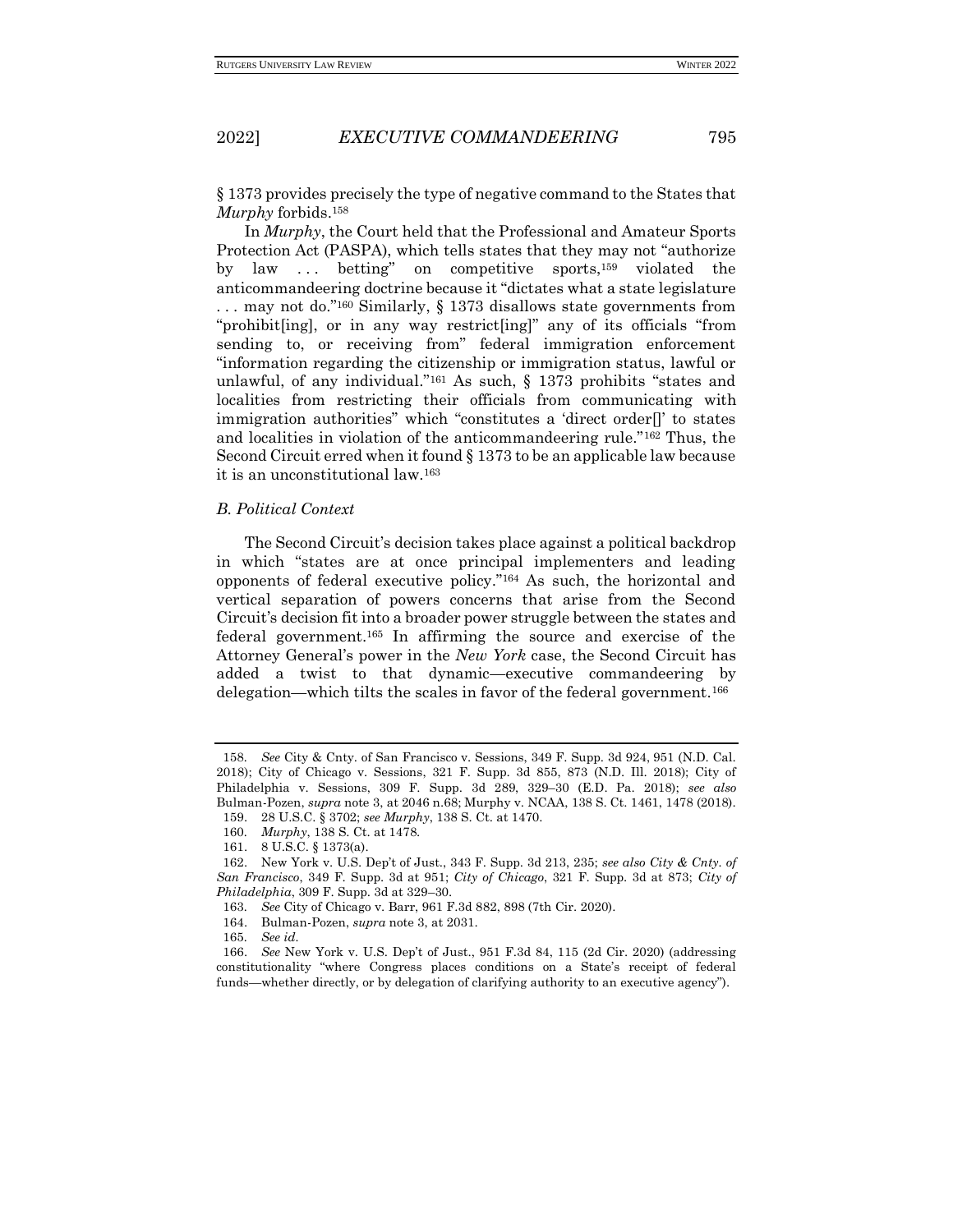§ 1373 provides precisely the type of negative command to the States that *Murphy* forbids.<sup>158</sup>

In *Murphy*, the Court held that the Professional and Amateur Sports Protection Act (PASPA), which tells states that they may not "authorize by law . . . betting" on competitive sports,<sup>159</sup> violated the anticommandeering doctrine because it "dictates what a state legislature . . . may not do."<sup>160</sup> Similarly, § 1373 disallows state governments from "prohibit[ing], or in any way restrict[ing]" any of its officials "from sending to, or receiving from" federal immigration enforcement "information regarding the citizenship or immigration status, lawful or unlawful, of any individual."<sup>161</sup> As such,  $\S$  1373 prohibits "states and localities from restricting their officials from communicating with immigration authorities" which "constitutes a 'direct order[]' to states and localities in violation of the anticommandeering rule."<sup>162</sup> Thus, the Second Circuit erred when it found § 1373 to be an applicable law because it is an unconstitutional law.<sup>163</sup>

#### *B. Political Context*

The Second Circuit's decision takes place against a political backdrop in which "states are at once principal implementers and leading opponents of federal executive policy."<sup>164</sup> As such, the horizontal and vertical separation of powers concerns that arise from the Second Circuit's decision fit into a broader power struggle between the states and federal government.<sup>165</sup> In affirming the source and exercise of the Attorney General's power in the *New York* case, the Second Circuit has added a twist to that dynamic—executive commandeering by delegation—which tilts the scales in favor of the federal government.<sup>166</sup>

<sup>158</sup>*. See* City & Cnty. of San Francisco v. Sessions, 349 F. Supp. 3d 924, 951 (N.D. Cal. 2018); City of Chicago v. Sessions, 321 F. Supp. 3d 855, 873 (N.D. Ill. 2018); City of Philadelphia v. Sessions, 309 F. Supp. 3d 289, 329–30 (E.D. Pa. 2018); *see also* Bulman-Pozen, *supra* note 3, at 2046 n.68; Murphy v. NCAA, 138 S. Ct. 1461, 1478 (2018).

<sup>159.</sup> 28 U.S.C. § 3702; *see Murphy*, 138 S. Ct. at 1470.

<sup>160</sup>*. Murphy*, 138 S. Ct. at 1478.

<sup>161.</sup> 8 U.S.C. § 1373(a).

<sup>162.</sup> New York v. U.S. Dep't of Just., 343 F. Supp. 3d 213, 235; *see also City & Cnty. of San Francisco*, 349 F. Supp. 3d at 951; *City of Chicago*, 321 F. Supp. 3d at 873; *City of Philadelphia*, 309 F. Supp. 3d at 329–30.

<sup>163</sup>*. See* City of Chicago v. Barr, 961 F.3d 882, 898 (7th Cir. 2020).

<sup>164.</sup> Bulman-Pozen, *supra* note 3, at 2031.

<sup>165</sup>*. See id.*

<sup>166.</sup> *See* New York v. U.S. Dep't of Just., 951 F.3d 84, 115 (2d Cir. 2020) (addressing constitutionality "where Congress places conditions on a State's receipt of federal funds—whether directly, or by delegation of clarifying authority to an executive agency").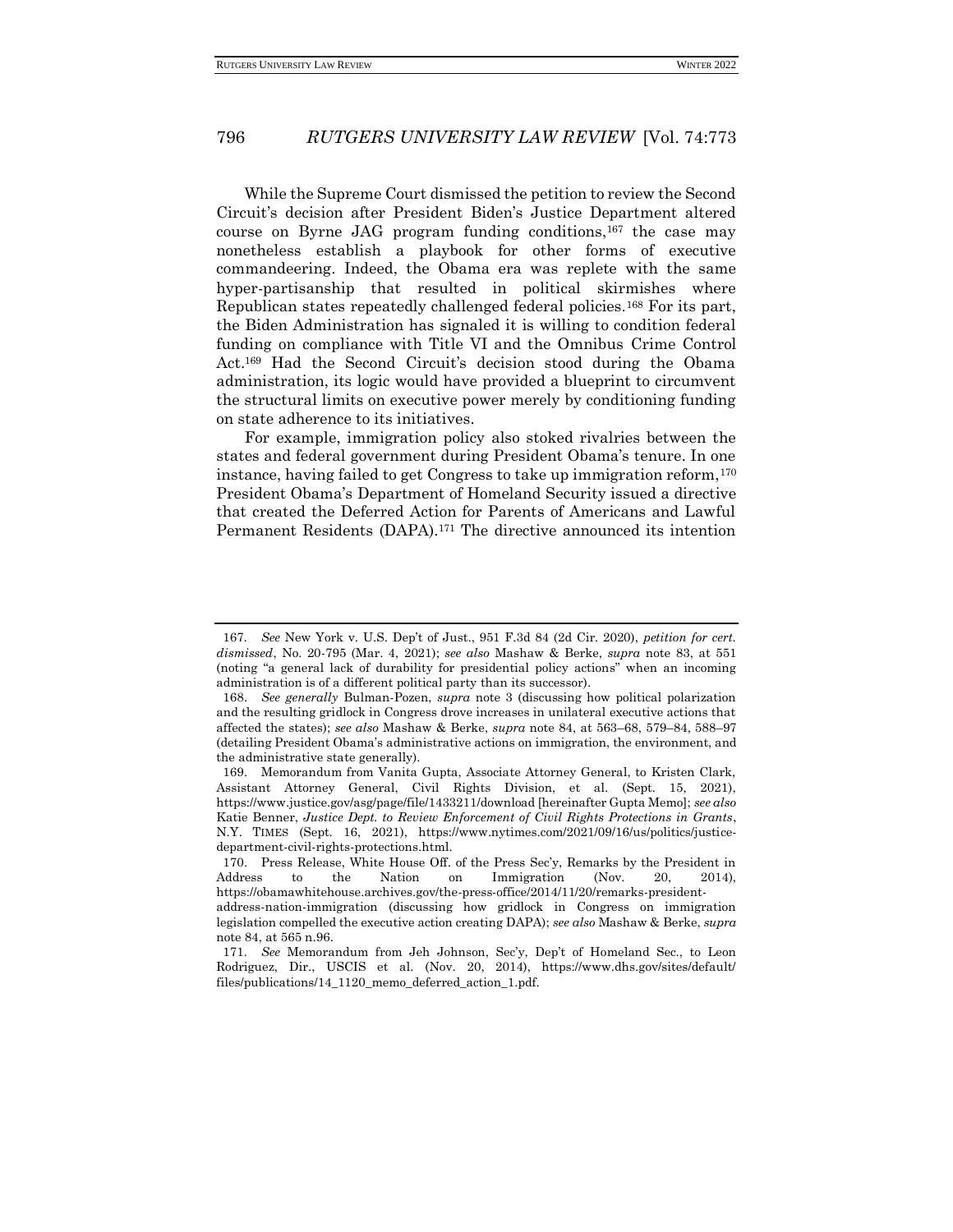While the Supreme Court dismissed the petition to review the Second Circuit's decision after President Biden's Justice Department altered course on Byrne JAG program funding conditions,<sup>167</sup> the case may nonetheless establish a playbook for other forms of executive commandeering. Indeed, the Obama era was replete with the same hyper-partisanship that resulted in political skirmishes where Republican states repeatedly challenged federal policies.<sup>168</sup> For its part, the Biden Administration has signaled it is willing to condition federal funding on compliance with Title VI and the Omnibus Crime Control Act.<sup>169</sup> Had the Second Circuit's decision stood during the Obama administration, its logic would have provided a blueprint to circumvent the structural limits on executive power merely by conditioning funding on state adherence to its initiatives.

For example, immigration policy also stoked rivalries between the states and federal government during President Obama's tenure. In one instance, having failed to get Congress to take up immigration reform,<sup>170</sup> President Obama's Department of Homeland Security issued a directive that created the Deferred Action for Parents of Americans and Lawful Permanent Residents (DAPA).<sup>171</sup> The directive announced its intention

<sup>167</sup>*. See* New York v. U.S. Dep't of Just., 951 F.3d 84 (2d Cir. 2020), *petition for cert. dismissed*, No. 20-795 (Mar. 4, 2021); *see also* Mashaw & Berke, *supra* note 83, at 551 (noting "a general lack of durability for presidential policy actions" when an incoming administration is of a different political party than its successor).

<sup>168.</sup> *See generally* Bulman-Pozen, *supra* note 3 (discussing how political polarization and the resulting gridlock in Congress drove increases in unilateral executive actions that affected the states); *see also* Mashaw & Berke, *supra* note 84, at 563–68, 579–84, 588–97 (detailing President Obama's administrative actions on immigration, the environment, and the administrative state generally).

<sup>169.</sup> Memorandum from Vanita Gupta, Associate Attorney General, to Kristen Clark, Assistant Attorney General, Civil Rights Division, et al. (Sept. 15, 2021), https://www.justice.gov/asg/page/file/1433211/download [hereinafter Gupta Memo]; *see also* Katie Benner, *Justice Dept. to Review Enforcement of Civil Rights Protections in Grants*, N.Y. TIMES (Sept. 16, 2021), https://www.nytimes.com/2021/09/16/us/politics/justicedepartment-civil-rights-protections.html.

<sup>170.</sup> Press Release, White House Off. of the Press Sec'y, Remarks by the President in Address to the Nation on Immigration (Nov. 20, 2014), https://obamawhitehouse.archives.gov/the-press-office/2014/11/20/remarks-presidentaddress-nation-immigration (discussing how gridlock in Congress on immigration legislation compelled the executive action creating DAPA); *see also* Mashaw & Berke, *supra* note 84, at 565 n.96.

<sup>171</sup>*. See* Memorandum from Jeh Johnson, Sec'y, Dep't of Homeland Sec., to Leon Rodriguez, Dir., USCIS et al. (Nov. 20, 2014), https://www.dhs.gov/sites/default/ files/publications/14\_1120\_memo\_deferred\_action\_1.pdf.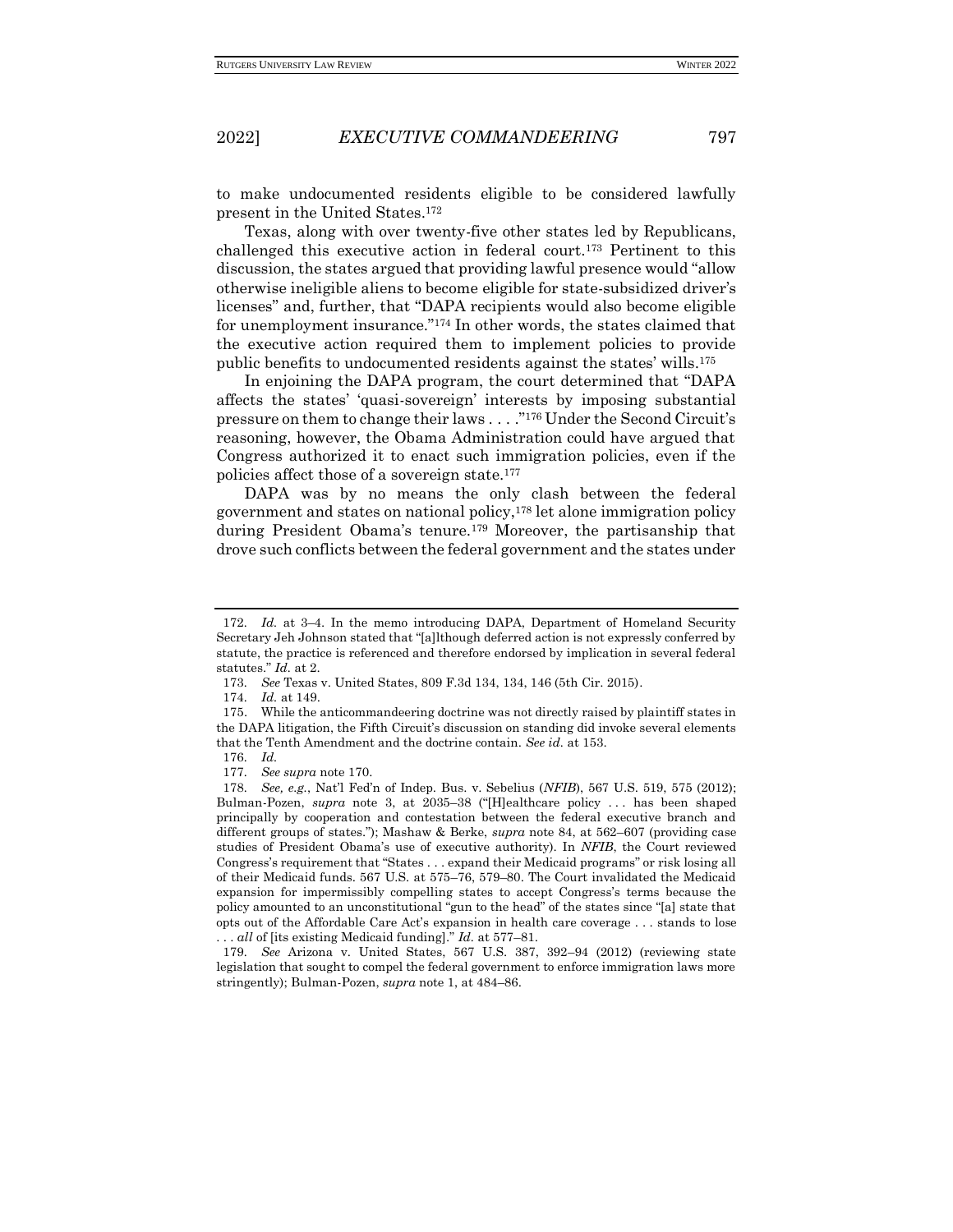to make undocumented residents eligible to be considered lawfully present in the United States.<sup>172</sup>

Texas, along with over twenty-five other states led by Republicans, challenged this executive action in federal court.<sup>173</sup> Pertinent to this discussion, the states argued that providing lawful presence would "allow otherwise ineligible aliens to become eligible for state-subsidized driver's licenses" and, further, that "DAPA recipients would also become eligible for unemployment insurance."<sup>174</sup> In other words, the states claimed that the executive action required them to implement policies to provide public benefits to undocumented residents against the states' wills.<sup>175</sup>

In enjoining the DAPA program, the court determined that "DAPA affects the states' 'quasi-sovereign' interests by imposing substantial pressure on them to change their laws . . . ."<sup>176</sup> Under the Second Circuit's reasoning, however, the Obama Administration could have argued that Congress authorized it to enact such immigration policies, even if the policies affect those of a sovereign state.<sup>177</sup>

DAPA was by no means the only clash between the federal government and states on national policy,<sup>178</sup> let alone immigration policy during President Obama's tenure.<sup>179</sup> Moreover, the partisanship that drove such conflicts between the federal government and the states under

177*. See supra* note 170.

<sup>172</sup>*. Id.* at 3–4. In the memo introducing DAPA, Department of Homeland Security Secretary Jeh Johnson stated that "[a]lthough deferred action is not expressly conferred by statute, the practice is referenced and therefore endorsed by implication in several federal statutes." *Id.* at 2.

<sup>173</sup>*. See* Texas v. United States, 809 F.3d 134, 134, 146 (5th Cir. 2015).

<sup>174</sup>*. Id.* at 149.

<sup>175.</sup> While the anticommandeering doctrine was not directly raised by plaintiff states in the DAPA litigation, the Fifth Circuit's discussion on standing did invoke several elements that the Tenth Amendment and the doctrine contain. *See id.* at 153.

<sup>176</sup>*. Id.*

<sup>178</sup>*. See, e.g.*, Nat'l Fed'n of Indep. Bus. v. Sebelius (*NFIB*), 567 U.S. 519, 575 (2012); Bulman-Pozen, *supra* note 3, at 2035–38 ("[H]ealthcare policy . . . has been shaped principally by cooperation and contestation between the federal executive branch and different groups of states."); Mashaw & Berke, *supra* note 84, at 562–607 (providing case studies of President Obama's use of executive authority). In *NFIB*, the Court reviewed Congress's requirement that "States . . . expand their Medicaid programs" or risk losing all of their Medicaid funds. 567 U.S. at 575–76, 579–80. The Court invalidated the Medicaid expansion for impermissibly compelling states to accept Congress's terms because the policy amounted to an unconstitutional "gun to the head" of the states since "[a] state that opts out of the Affordable Care Act's expansion in health care coverage . . . stands to lose . . . *all* of [its existing Medicaid funding]." *Id.* at 577–81.

<sup>179</sup>*. See* Arizona v. United States, 567 U.S. 387, 392–94 (2012) (reviewing state legislation that sought to compel the federal government to enforce immigration laws more stringently); Bulman-Pozen, *supra* note 1, at 484–86.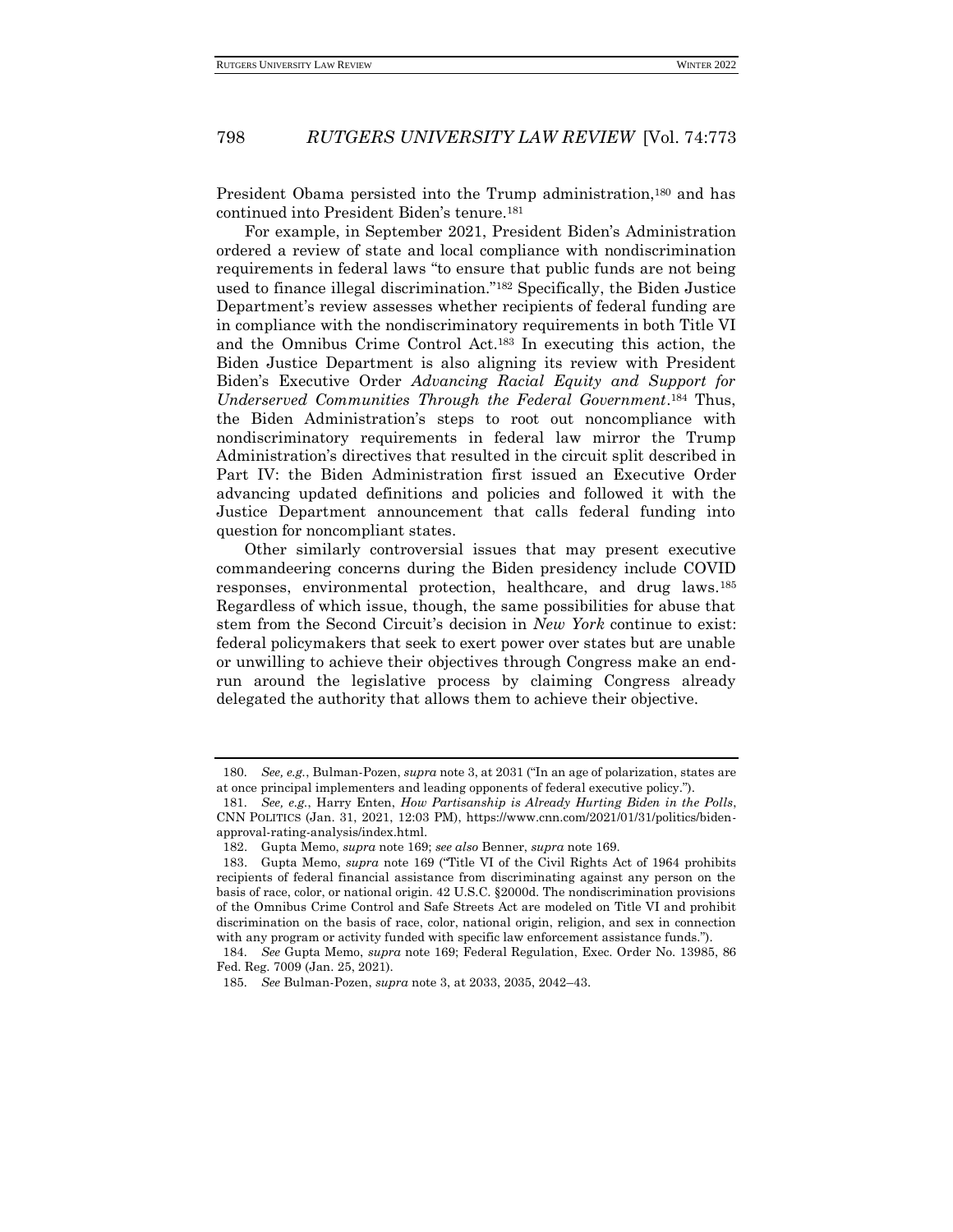President Obama persisted into the Trump administration,<sup>180</sup> and has continued into President Biden's tenure.<sup>181</sup>

For example, in September 2021, President Biden's Administration ordered a review of state and local compliance with nondiscrimination requirements in federal laws "to ensure that public funds are not being used to finance illegal discrimination."<sup>182</sup> Specifically, the Biden Justice Department's review assesses whether recipients of federal funding are in compliance with the nondiscriminatory requirements in both Title VI and the Omnibus Crime Control Act.<sup>183</sup> In executing this action, the Biden Justice Department is also aligning its review with President Biden's Executive Order *Advancing Racial Equity and Support for Underserved Communities Through the Federal Government*. <sup>184</sup> Thus, the Biden Administration's steps to root out noncompliance with nondiscriminatory requirements in federal law mirror the Trump Administration's directives that resulted in the circuit split described in Part IV: the Biden Administration first issued an Executive Order advancing updated definitions and policies and followed it with the Justice Department announcement that calls federal funding into question for noncompliant states.

Other similarly controversial issues that may present executive commandeering concerns during the Biden presidency include COVID responses, environmental protection, healthcare, and drug laws.<sup>185</sup> Regardless of which issue, though, the same possibilities for abuse that stem from the Second Circuit's decision in *New York* continue to exist: federal policymakers that seek to exert power over states but are unable or unwilling to achieve their objectives through Congress make an endrun around the legislative process by claiming Congress already delegated the authority that allows them to achieve their objective.

<sup>180</sup>*. See, e.g.*, Bulman-Pozen, *supra* note 3, at 2031 ("In an age of polarization, states are at once principal implementers and leading opponents of federal executive policy.").

<sup>181</sup>*. See, e.g.*, Harry Enten, *How Partisanship is Already Hurting Biden in the Polls*, CNN POLITICS (Jan. 31, 2021, 12:03 PM), https://www.cnn.com/2021/01/31/politics/bidenapproval-rating-analysis/index.html.

<sup>182.</sup> Gupta Memo, *supra* note 169; *see also* Benner, *supra* note 169.

<sup>183.</sup> Gupta Memo, *supra* note 169 ("Title VI of the Civil Rights Act of 1964 prohibits recipients of federal financial assistance from discriminating against any person on the basis of race, color, or national origin. 42 U.S.C. §2000d. The nondiscrimination provisions of the Omnibus Crime Control and Safe Streets Act are modeled on Title VI and prohibit discrimination on the basis of race, color, national origin, religion, and sex in connection with any program or activity funded with specific law enforcement assistance funds.").

<sup>184</sup>*. See* Gupta Memo, *supra* note 169; Federal Regulation, Exec. Order No. 13985, 86 Fed. Reg. 7009 (Jan. 25, 2021).

<sup>185</sup>*. See* Bulman-Pozen, *supra* note 3, at 2033, 2035, 2042–43.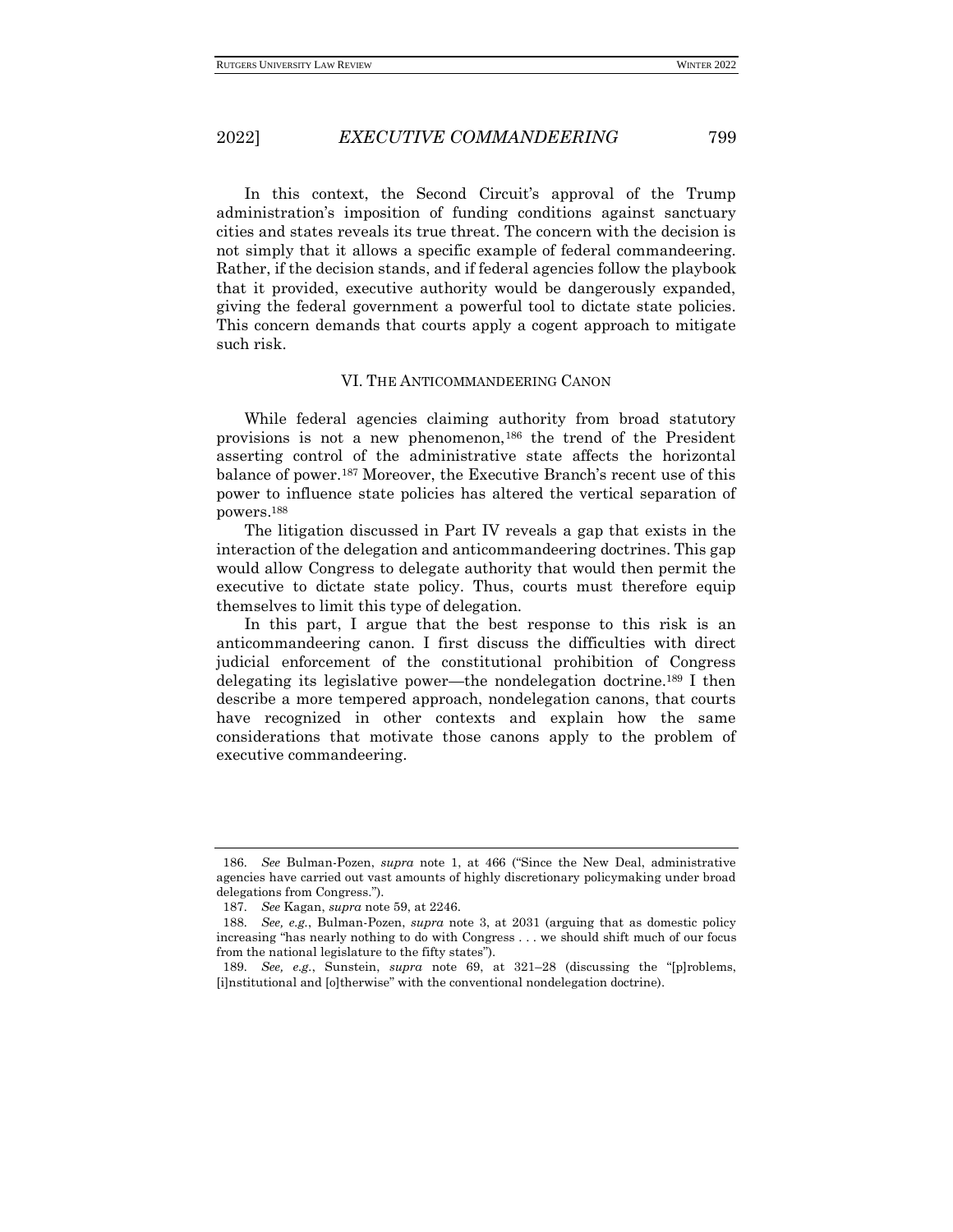In this context, the Second Circuit's approval of the Trump administration's imposition of funding conditions against sanctuary cities and states reveals its true threat. The concern with the decision is not simply that it allows a specific example of federal commandeering. Rather, if the decision stands, and if federal agencies follow the playbook that it provided, executive authority would be dangerously expanded, giving the federal government a powerful tool to dictate state policies. This concern demands that courts apply a cogent approach to mitigate such risk.

#### VI. THE ANTICOMMANDEERING CANON

While federal agencies claiming authority from broad statutory provisions is not a new phenomenon,<sup>186</sup> the trend of the President asserting control of the administrative state affects the horizontal balance of power.<sup>187</sup> Moreover, the Executive Branch's recent use of this power to influence state policies has altered the vertical separation of powers.<sup>188</sup>

The litigation discussed in Part IV reveals a gap that exists in the interaction of the delegation and anticommandeering doctrines. This gap would allow Congress to delegate authority that would then permit the executive to dictate state policy. Thus, courts must therefore equip themselves to limit this type of delegation.

In this part, I argue that the best response to this risk is an anticommandeering canon. I first discuss the difficulties with direct judicial enforcement of the constitutional prohibition of Congress delegating its legislative power—the nondelegation doctrine.<sup>189</sup> I then describe a more tempered approach, nondelegation canons, that courts have recognized in other contexts and explain how the same considerations that motivate those canons apply to the problem of executive commandeering.

<sup>186</sup>*. See* Bulman-Pozen, *supra* note 1, at 466 ("Since the New Deal, administrative agencies have carried out vast amounts of highly discretionary policymaking under broad delegations from Congress.").

<sup>187</sup>*. See* Kagan, *supra* note 59, at 2246.

<sup>188</sup>*. See, e.g.*, Bulman-Pozen, *supra* note 3, at 2031 (arguing that as domestic policy increasing "has nearly nothing to do with Congress . . . we should shift much of our focus from the national legislature to the fifty states").

<sup>189</sup>*. See, e.g.*, Sunstein, *supra* note 69, at 321–28 (discussing the "[p]roblems, [i]nstitutional and [o]therwise" with the conventional nondelegation doctrine).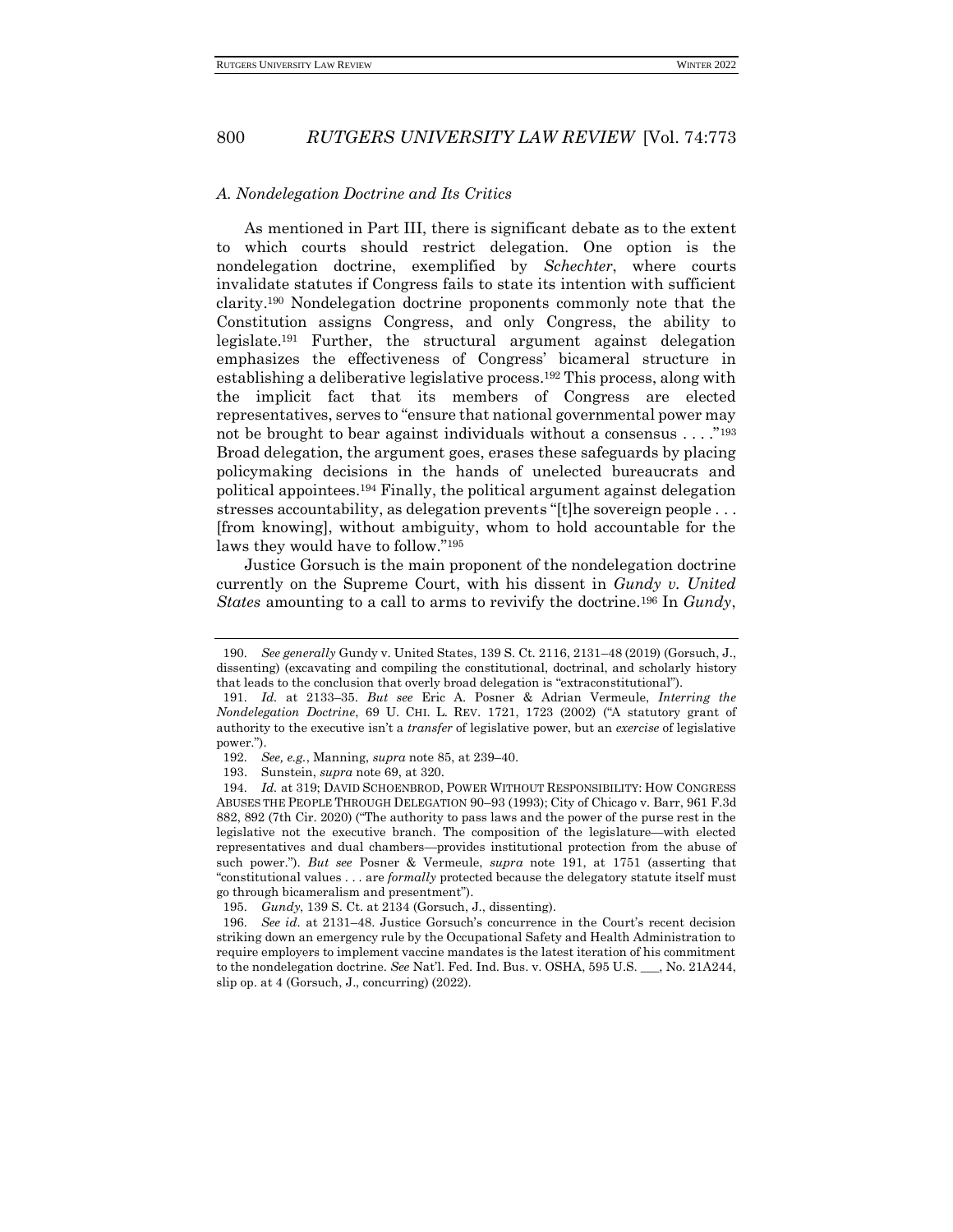#### *A. Nondelegation Doctrine and Its Critics*

As mentioned in Part III, there is significant debate as to the extent to which courts should restrict delegation. One option is the nondelegation doctrine, exemplified by *Schechter*, where courts invalidate statutes if Congress fails to state its intention with sufficient clarity.<sup>190</sup> Nondelegation doctrine proponents commonly note that the Constitution assigns Congress, and only Congress, the ability to legislate.<sup>191</sup> Further, the structural argument against delegation emphasizes the effectiveness of Congress' bicameral structure in establishing a deliberative legislative process.<sup>192</sup> This process, along with the implicit fact that its members of Congress are elected representatives, serves to "ensure that national governmental power may not be brought to bear against individuals without a consensus . . . ."<sup>193</sup> Broad delegation, the argument goes, erases these safeguards by placing policymaking decisions in the hands of unelected bureaucrats and political appointees.<sup>194</sup> Finally, the political argument against delegation stresses accountability, as delegation prevents "[t]he sovereign people . . . [from knowing], without ambiguity, whom to hold accountable for the laws they would have to follow."<sup>195</sup>

Justice Gorsuch is the main proponent of the nondelegation doctrine currently on the Supreme Court, with his dissent in *Gundy v. United States* amounting to a call to arms to revivify the doctrine.<sup>196</sup> In *Gundy*,

<sup>190</sup>*. See generally* Gundy v. United States, 139 S. Ct. 2116, 2131–48 (2019) (Gorsuch, J., dissenting) (excavating and compiling the constitutional, doctrinal, and scholarly history that leads to the conclusion that overly broad delegation is "extraconstitutional").

<sup>191</sup>*. Id.* at 2133–35. *But see* Eric A. Posner & Adrian Vermeule, *Interring the Nondelegation Doctrine*, 69 U. CHI. L. REV. 1721, 1723 (2002) ("A statutory grant of authority to the executive isn't a *transfer* of legislative power, but an *exercise* of legislative power.").

<sup>192</sup>*. See, e.g.*, Manning, *supra* note 85, at 239–40.

<sup>193.</sup> Sunstein, *supra* note 69, at 320.

<sup>194</sup>*. Id.* at 319; DAVID SCHOENBROD, POWER WITHOUT RESPONSIBILITY: HOW CONGRESS ABUSES THE PEOPLE THROUGH DELEGATION 90–93 (1993); City of Chicago v. Barr, 961 F.3d 882, 892 (7th Cir. 2020) ("The authority to pass laws and the power of the purse rest in the legislative not the executive branch. The composition of the legislature—with elected representatives and dual chambers—provides institutional protection from the abuse of such power."). *But see* Posner & Vermeule, *supra* note 191, at 1751 (asserting that "constitutional values . . . are *formally* protected because the delegatory statute itself must go through bicameralism and presentment").

<sup>195</sup>*. Gundy*, 139 S. Ct. at 2134 (Gorsuch, J., dissenting).

<sup>196</sup>*. See id.* at 2131–48. Justice Gorsuch's concurrence in the Court's recent decision striking down an emergency rule by the Occupational Safety and Health Administration to require employers to implement vaccine mandates is the latest iteration of his commitment to the nondelegation doctrine. *See* Nat'l. Fed. Ind. Bus. v. OSHA, 595 U.S. \_\_\_, No. 21A244, slip op. at 4 (Gorsuch, J., concurring) (2022).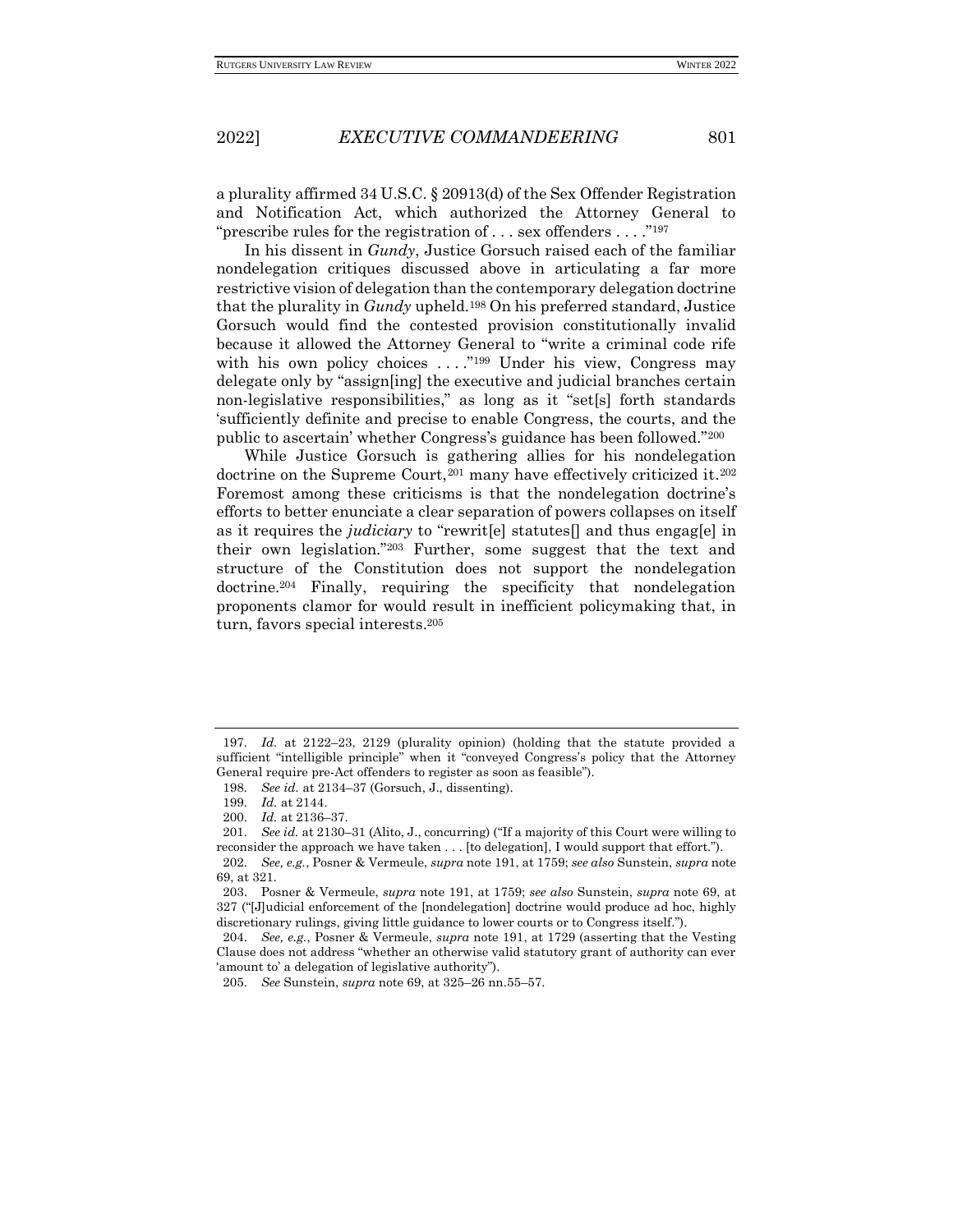a plurality affirmed 34 U.S.C. § 20913(d) of the Sex Offender Registration and Notification Act, which authorized the Attorney General to "prescribe rules for the registration of  $\dots$  sex offenders  $\dots$ ."<sup>197</sup>

In his dissent in *Gundy*, Justice Gorsuch raised each of the familiar nondelegation critiques discussed above in articulating a far more restrictive vision of delegation than the contemporary delegation doctrine that the plurality in *Gundy* upheld.<sup>198</sup> On his preferred standard, Justice Gorsuch would find the contested provision constitutionally invalid because it allowed the Attorney General to "write a criminal code rife with his own policy choices  $\dots$ ."<sup>199</sup> Under his view, Congress may delegate only by "assign[ing] the executive and judicial branches certain non-legislative responsibilities," as long as it "set[s] forth standards 'sufficiently definite and precise to enable Congress, the courts, and the public to ascertain' whether Congress's guidance has been followed."<sup>200</sup>

While Justice Gorsuch is gathering allies for his nondelegation doctrine on the Supreme Court,<sup>201</sup> many have effectively criticized it.<sup>202</sup> Foremost among these criticisms is that the nondelegation doctrine's efforts to better enunciate a clear separation of powers collapses on itself as it requires the *judiciary* to "rewrit[e] statutes[] and thus engag[e] in their own legislation."<sup>203</sup> Further, some suggest that the text and structure of the Constitution does not support the nondelegation doctrine.<sup>204</sup> Finally, requiring the specificity that nondelegation proponents clamor for would result in inefficient policymaking that, in turn, favors special interests.<sup>205</sup>

<sup>197</sup>*. Id.* at 2122–23, 2129 (plurality opinion) (holding that the statute provided a sufficient "intelligible principle" when it "conveyed Congress's policy that the Attorney General require pre-Act offenders to register as soon as feasible").

<sup>198</sup>*. See id.* at 2134–37 (Gorsuch, J., dissenting).

<sup>199</sup>*. Id.* at 2144.

<sup>200</sup>*. Id.* at 2136–37.

<sup>201</sup>*. See id.* at 2130–31 (Alito, J., concurring) ("If a majority of this Court were willing to reconsider the approach we have taken . . . [to delegation], I would support that effort."). 202*. See, e.g.*, Posner & Vermeule, *supra* note 191, at 1759; *see also* Sunstein, *supra* note

<sup>69,</sup> at 321.

<sup>203.</sup> Posner & Vermeule, *supra* note 191, at 1759; *see also* Sunstein, *supra* note 69, at 327 ("[J]udicial enforcement of the [nondelegation] doctrine would produce ad hoc, highly discretionary rulings, giving little guidance to lower courts or to Congress itself.").

<sup>204</sup>*. See, e.g.*, Posner & Vermeule, *supra* note 191, at 1729 (asserting that the Vesting Clause does not address "whether an otherwise valid statutory grant of authority can ever 'amount to' a delegation of legislative authority").

<sup>205</sup>*. See* Sunstein, *supra* note 69, at 325–26 nn.55–57.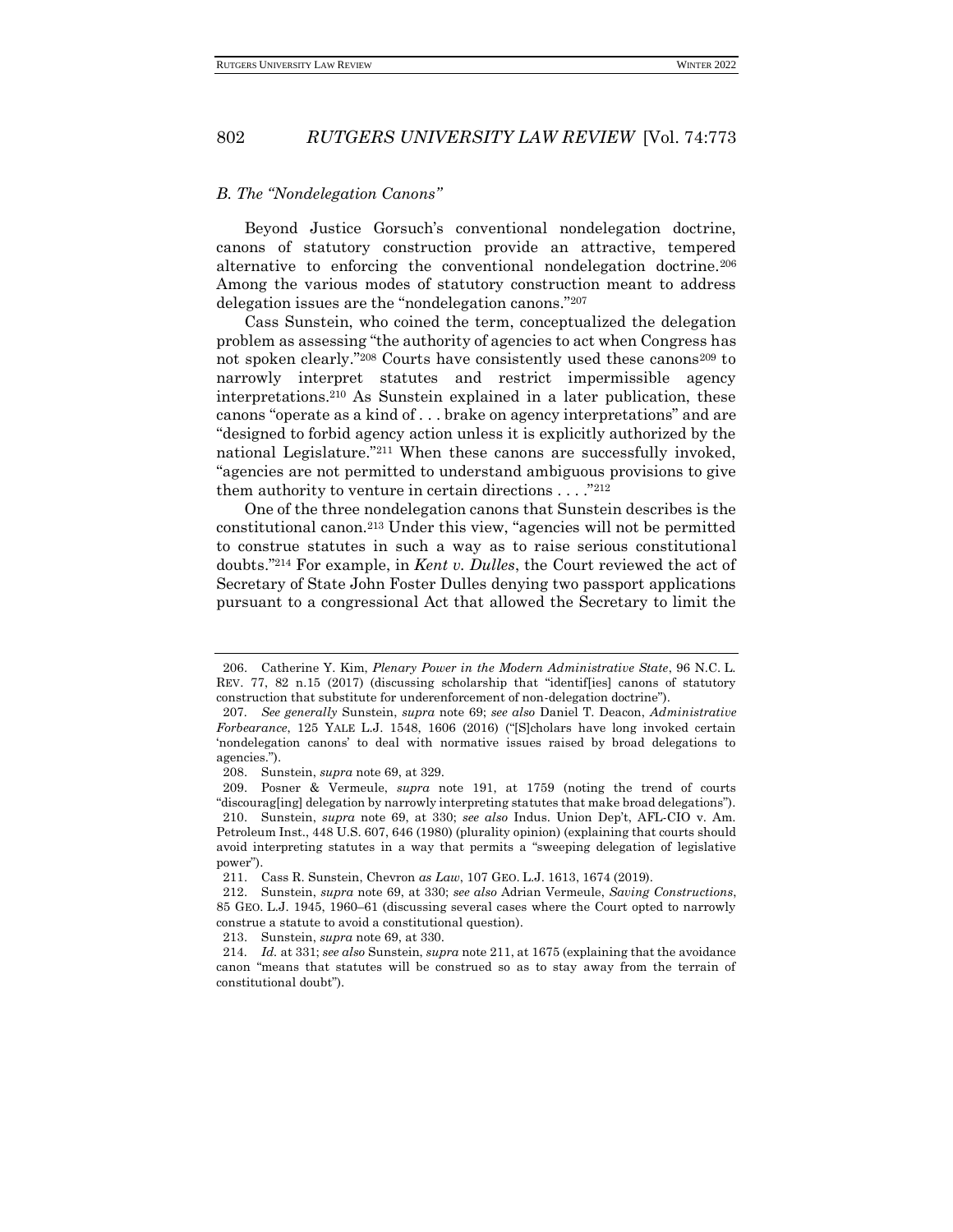#### *B. The "Nondelegation Canons"*

Beyond Justice Gorsuch's conventional nondelegation doctrine, canons of statutory construction provide an attractive, tempered alternative to enforcing the conventional nondelegation doctrine.<sup>206</sup> Among the various modes of statutory construction meant to address delegation issues are the "nondelegation canons."<sup>207</sup>

Cass Sunstein, who coined the term, conceptualized the delegation problem as assessing "the authority of agencies to act when Congress has not spoken clearly."<sup>208</sup> Courts have consistently used these canons<sup>209</sup> to narrowly interpret statutes and restrict impermissible agency interpretations.<sup>210</sup> As Sunstein explained in a later publication, these canons "operate as a kind of . . . brake on agency interpretations" and are "designed to forbid agency action unless it is explicitly authorized by the national Legislature."<sup>211</sup> When these canons are successfully invoked, "agencies are not permitted to understand ambiguous provisions to give them authority to venture in certain directions  $\dots$ ."<sup>212</sup>

One of the three nondelegation canons that Sunstein describes is the constitutional canon.<sup>213</sup> Under this view, "agencies will not be permitted to construe statutes in such a way as to raise serious constitutional doubts."<sup>214</sup> For example, in *Kent v. Dulles*, the Court reviewed the act of Secretary of State John Foster Dulles denying two passport applications pursuant to a congressional Act that allowed the Secretary to limit the

<sup>206.</sup> Catherine Y. Kim, *Plenary Power in the Modern Administrative State*, 96 N.C. L. REV. 77, 82 n.15 (2017) (discussing scholarship that "identif[ies] canons of statutory construction that substitute for underenforcement of non-delegation doctrine").

<sup>207</sup>*. See generally* Sunstein, *supra* note 69; *see also* Daniel T. Deacon, *Administrative Forbearance*, 125 YALE L.J. 1548, 1606 (2016) ("[S]cholars have long invoked certain 'nondelegation canons' to deal with normative issues raised by broad delegations to agencies.").

<sup>208.</sup> Sunstein, *supra* note 69, at 329.

<sup>209.</sup> Posner & Vermeule, *supra* note 191, at 1759 (noting the trend of courts "discourag[ing] delegation by narrowly interpreting statutes that make broad delegations"). 210. Sunstein, *supra* note 69, at 330; *see also* Indus. Union Dep't, AFL-CIO v. Am. Petroleum Inst., 448 U.S. 607, 646 (1980) (plurality opinion) (explaining that courts should avoid interpreting statutes in a way that permits a "sweeping delegation of legislative power").

<sup>211.</sup> Cass R. Sunstein, Chevron *as Law*, 107 GEO. L.J. 1613, 1674 (2019).

<sup>212.</sup> Sunstein, *supra* note 69, at 330; *see also* Adrian Vermeule, *Saving Constructions*, 85 GEO. L.J. 1945, 1960–61 (discussing several cases where the Court opted to narrowly construe a statute to avoid a constitutional question).

<sup>213.</sup> Sunstein, *supra* note 69, at 330.

<sup>214</sup>*. Id.* at 331; *see also* Sunstein, *supra* note 211, at 1675 (explaining that the avoidance canon "means that statutes will be construed so as to stay away from the terrain of constitutional doubt").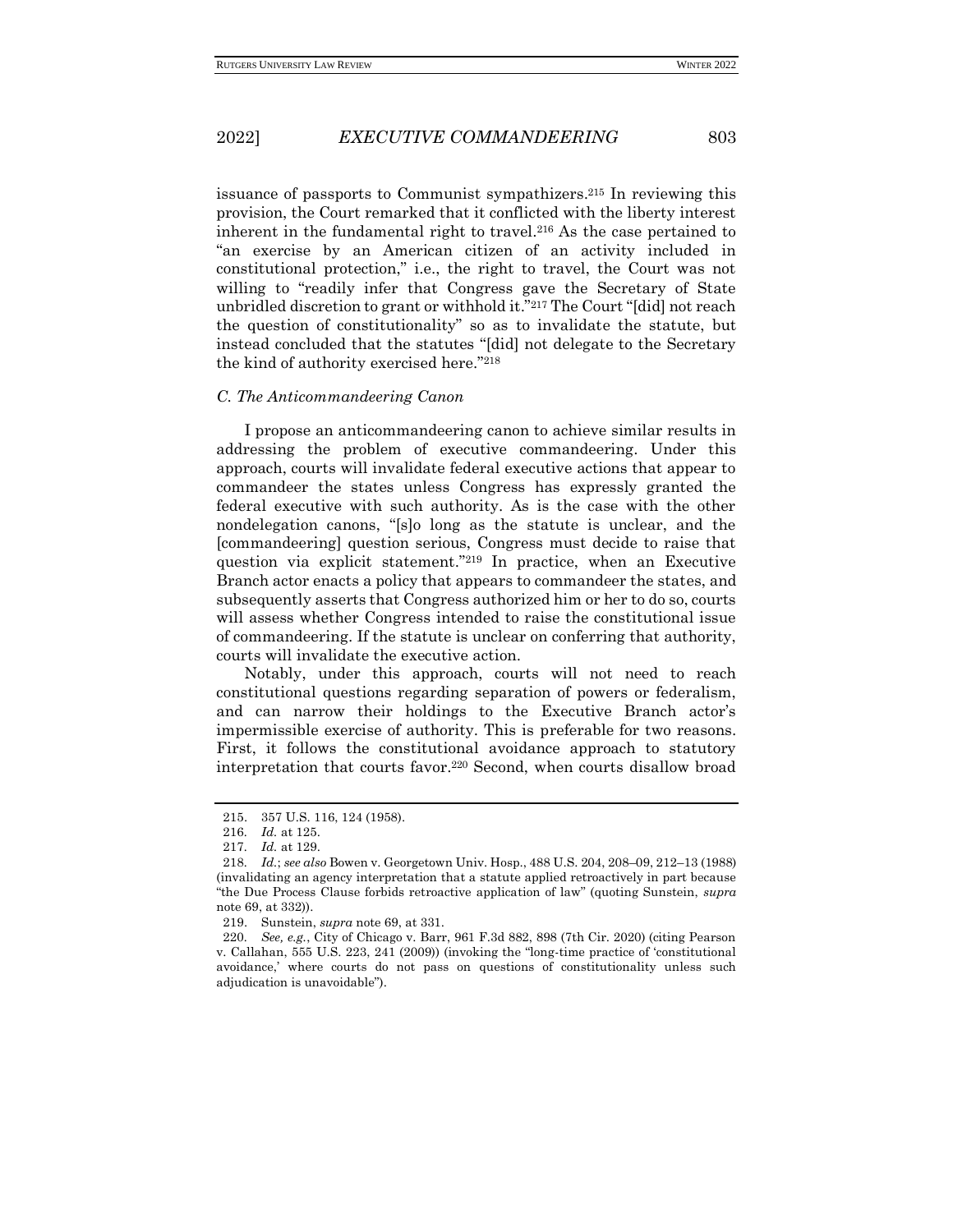issuance of passports to Communist sympathizers.<sup>215</sup> In reviewing this provision, the Court remarked that it conflicted with the liberty interest inherent in the fundamental right to travel.<sup>216</sup> As the case pertained to "an exercise by an American citizen of an activity included in constitutional protection," i.e., the right to travel, the Court was not willing to "readily infer that Congress gave the Secretary of State unbridled discretion to grant or withhold it."<sup>217</sup> The Court "[did] not reach the question of constitutionality" so as to invalidate the statute, but instead concluded that the statutes "[did] not delegate to the Secretary the kind of authority exercised here."<sup>218</sup>

#### *C. The Anticommandeering Canon*

I propose an anticommandeering canon to achieve similar results in addressing the problem of executive commandeering. Under this approach, courts will invalidate federal executive actions that appear to commandeer the states unless Congress has expressly granted the federal executive with such authority. As is the case with the other nondelegation canons, "[s]o long as the statute is unclear, and the [commandeering] question serious, Congress must decide to raise that question via explicit statement."<sup>219</sup> In practice, when an Executive Branch actor enacts a policy that appears to commandeer the states, and subsequently asserts that Congress authorized him or her to do so, courts will assess whether Congress intended to raise the constitutional issue of commandeering. If the statute is unclear on conferring that authority, courts will invalidate the executive action.

Notably, under this approach, courts will not need to reach constitutional questions regarding separation of powers or federalism, and can narrow their holdings to the Executive Branch actor's impermissible exercise of authority. This is preferable for two reasons. First, it follows the constitutional avoidance approach to statutory interpretation that courts favor.<sup>220</sup> Second, when courts disallow broad

<sup>215.</sup> 357 U.S. 116, 124 (1958).

<sup>216</sup>*. Id.* at 125.

<sup>217</sup>*. Id.* at 129.

<sup>218</sup>*. Id.*; *see also* Bowen v. Georgetown Univ. Hosp., 488 U.S. 204, 208–09, 212–13 (1988) (invalidating an agency interpretation that a statute applied retroactively in part because "the Due Process Clause forbids retroactive application of law" (quoting Sunstein, *supra*  note 69, at 332)).

<sup>219.</sup> Sunstein, *supra* note 69, at 331.

<sup>220</sup>*. See, e.g.*, City of Chicago v. Barr, 961 F.3d 882, 898 (7th Cir. 2020) (citing Pearson v. Callahan, 555 U.S. 223, 241 (2009)) (invoking the "long-time practice of 'constitutional avoidance,' where courts do not pass on questions of constitutionality unless such adjudication is unavoidable").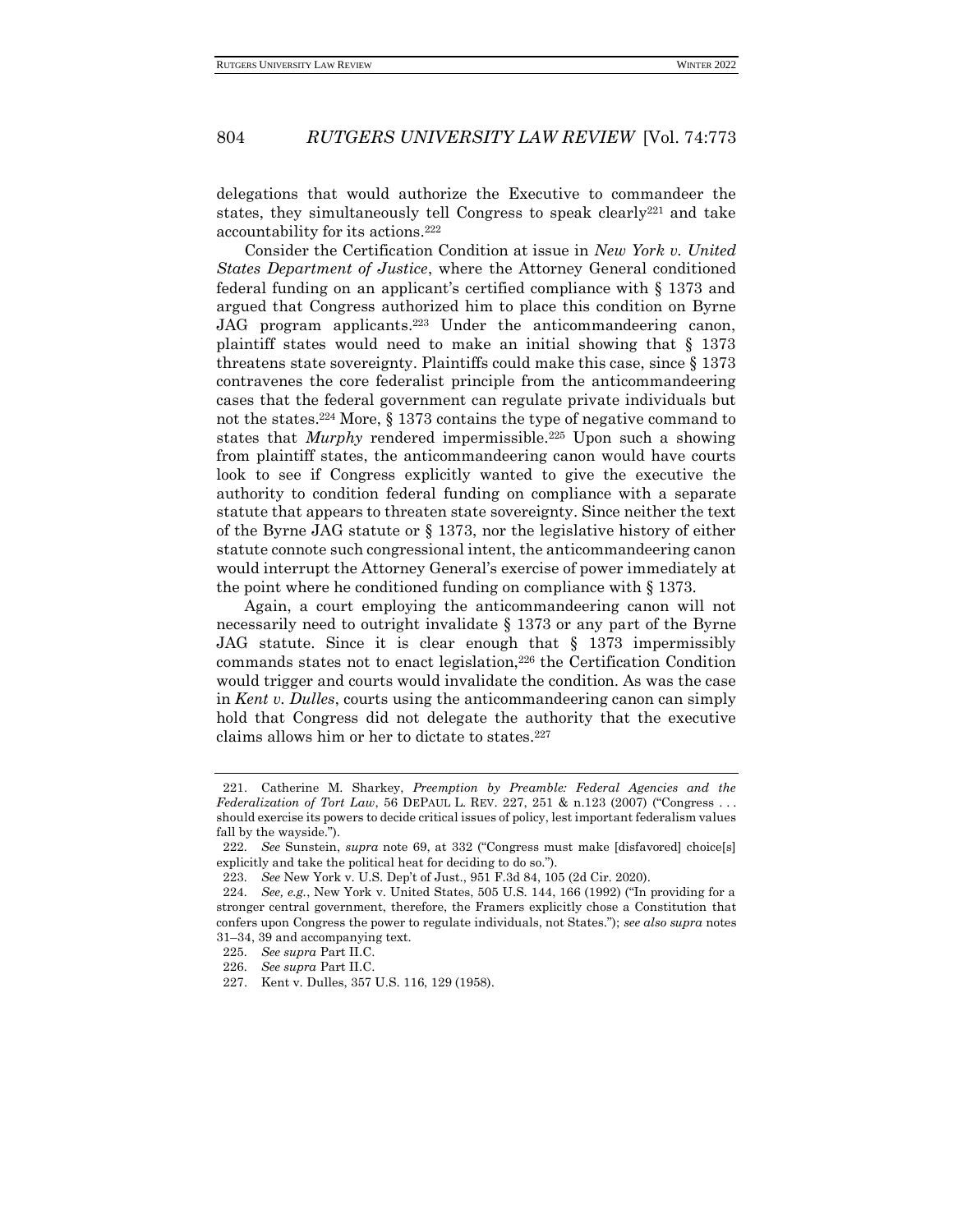delegations that would authorize the Executive to commandeer the states, they simultaneously tell Congress to speak clearly<sup>221</sup> and take accountability for its actions.<sup>222</sup>

Consider the Certification Condition at issue in *New York v. United States Department of Justice*, where the Attorney General conditioned federal funding on an applicant's certified compliance with § 1373 and argued that Congress authorized him to place this condition on Byrne JAG program applicants.<sup>223</sup> Under the anticommandeering canon, plaintiff states would need to make an initial showing that § 1373 threatens state sovereignty. Plaintiffs could make this case, since § 1373 contravenes the core federalist principle from the anticommandeering cases that the federal government can regulate private individuals but not the states.<sup>224</sup> More, § 1373 contains the type of negative command to states that *Murphy* rendered impermissible.<sup>225</sup> Upon such a showing from plaintiff states, the anticommandeering canon would have courts look to see if Congress explicitly wanted to give the executive the authority to condition federal funding on compliance with a separate statute that appears to threaten state sovereignty. Since neither the text of the Byrne JAG statute or § 1373, nor the legislative history of either statute connote such congressional intent, the anticommandeering canon would interrupt the Attorney General's exercise of power immediately at the point where he conditioned funding on compliance with § 1373.

Again, a court employing the anticommandeering canon will not necessarily need to outright invalidate § 1373 or any part of the Byrne JAG statute. Since it is clear enough that § 1373 impermissibly commands states not to enact legislation,<sup>226</sup> the Certification Condition would trigger and courts would invalidate the condition. As was the case in *Kent v. Dulles*, courts using the anticommandeering canon can simply hold that Congress did not delegate the authority that the executive claims allows him or her to dictate to states.<sup>227</sup>

<sup>221.</sup> Catherine M. Sharkey, *Preemption by Preamble: Federal Agencies and the Federalization of Tort Law*, 56 DEPAUL L. REV. 227, 251 & n.123 (2007) ("Congress . . . should exercise its powers to decide critical issues of policy, lest important federalism values fall by the wayside.").

<sup>222</sup>*. See* Sunstein, *supra* note 69, at 332 ("Congress must make [disfavored] choice[s] explicitly and take the political heat for deciding to do so.").

<sup>223</sup>*. See* New York v. U.S. Dep't of Just., 951 F.3d 84, 105 (2d Cir. 2020).

<sup>224</sup>*. See, e.g.*, New York v. United States, 505 U.S. 144, 166 (1992) ("In providing for a stronger central government, therefore, the Framers explicitly chose a Constitution that confers upon Congress the power to regulate individuals, not States."); *see also supra* notes 31–34, 39 and accompanying text.

<sup>225</sup>*. See supra* Part II.C.

<sup>226</sup>*. See supra* Part II.C.

<sup>227.</sup> Kent v. Dulles, 357 U.S. 116, 129 (1958).